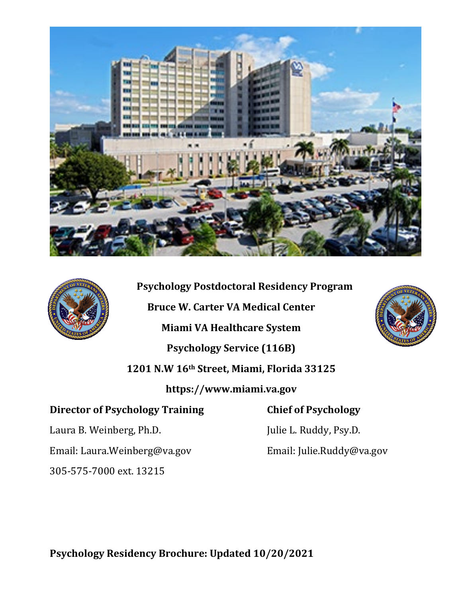



**Psychology Postdoctoral Residency Program Bruce W. Carter VA Medical Center Miami VA Healthcare System Psychology Service (116B) 1201 N.W 16th Street, Miami, Florida 33125 https://www.miami.va.gov Director of Psychology Training Chief of Psychology** 



Laura B. Weinberg, Ph.D. Julie L. Ruddy, Psy.D.

Email: Laura.Weinberg@va.gov Email: Julie.Ruddy@va.gov

305-575-7000 ext. 13215

**Psychology Residency Brochure: Updated 10/20/2021**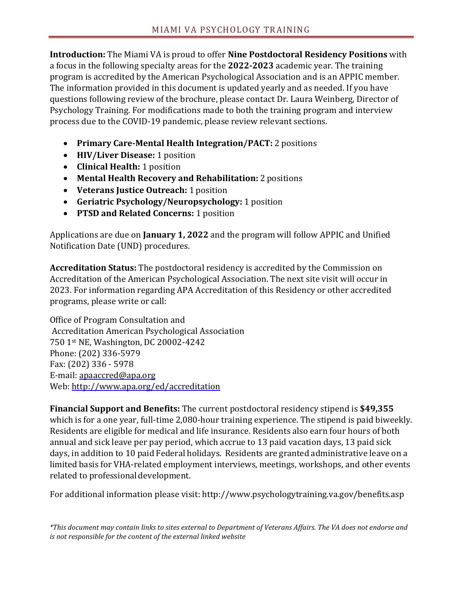**Introduction:** The Miami VA is proud to offer **Nine Postdoctoral Residency Positions** with a focus in the following specialty areas for the **2022-2023** academic year. The training program is accredited by the American Psychological Association and is an APPIC member. The information provided in this document is updated yearly and as needed. If you have questions following review of the brochure, please contact Dr. Laura Weinberg, Director of Psychology Training. For modifications made to both the training program and interview process due to the COVID-19 pandemic, please review relevant sections.

- **Primary Care-Mental Health Integration/PACT:** 2 positions
- **HIV/Liver Disease:** 1 position
- **Clinical Health:** 1 position
- **Mental Health Recovery and Rehabilitation:** 2 positions
- **Veterans Justice Outreach:** 1 position
- **Geriatric Psychology/Neuropsychology:** 1 position
- **PTSD and Related Concerns:** 1 position

Applications are due on **January 1, 2022** and the program will follow APPIC and Unified Notification Date (UND) procedures.

**Accreditation Status:** The postdoctoral residency is accredited by the Commission on Accreditation of the American Psychological Association. The next site visit will occur in 2023. For information regarding APA Accreditation of this Residency or other accredited programs, please write or call:

Office of Program Consultation and Accreditation American Psychological Association 750 1st NE, Washington, DC 20002-4242 Phone: (202) 336-5979 Fax: (202) 336 - 5978 E-mail: [apaaccred@apa.org](mailto:apaaccred@apa.org) Web:<http://www.apa.org/ed/accreditation>

**Financial Support and Benefits:** The current postdoctoral residency stipend is **\$49,355** which is for a one year, full-time 2,080-hour training experience. The stipend is paid biweekly. Residents are eligible for medical and life insurance. Residents also earn four hours of both annual and sick leave per pay period, which accrue to 13 paid vacation days, 13 paid sick days, in addition to 10 paid Federal holidays. Residents are granted administrative leave on a limited basis for VHA-related employment interviews, meetings, workshops, and other events related to professionaldevelopment.

For additional information please visit: http://www.psychologytraining.va.gov/benefits.asp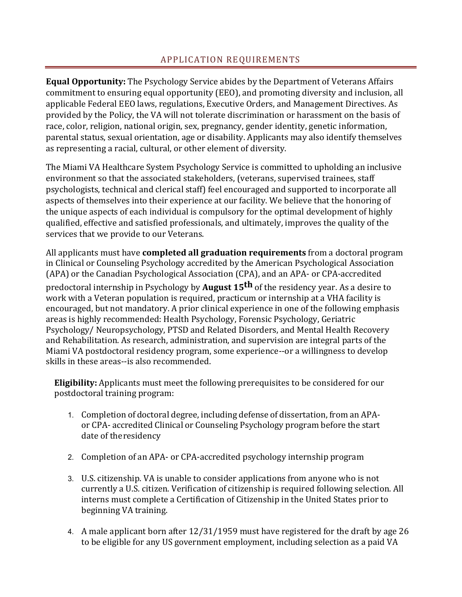## APPLICATION REQUIREMENTS

**Equal Opportunity:** The Psychology Service abides by the Department of Veterans Affairs commitment to ensuring equal opportunity (EEO), and promoting diversity and inclusion, all applicable Federal EEO laws, regulations, Executive Orders, and Management Directives. As provided by the Policy, the VA will not tolerate discrimination or harassment on the basis of race, color, religion, national origin, sex, pregnancy, gender identity, genetic information, parental status, sexual orientation, age or disability. Applicants may also identify themselves as representing a racial, cultural, or other element of diversity.

The Miami VA Healthcare System Psychology Service is committed to upholding an inclusive environment so that the associated stakeholders, (veterans, supervised trainees, staff psychologists, technical and clerical staff) feel encouraged and supported to incorporate all aspects of themselves into their experience at our facility. We believe that the honoring of the unique aspects of each individual is compulsory for the optimal development of highly qualified, effective and satisfied professionals, and ultimately, improves the quality of the services that we provide to our Veterans.

All applicants must have **completed all graduation requirements** from a doctoral program in Clinical or Counseling Psychology accredited by the American Psychological Association (APA) or the Canadian Psychological Association (CPA), and an APA- or CPA-accredited predoctoral internship in Psychology by **August 15th** of the residency year. As a desire to work with a Veteran population is required, practicum or internship at a VHA facility is encouraged, but not mandatory. A prior clinical experience in one of the following emphasis areas is highly recommended: Health Psychology, Forensic Psychology, Geriatric Psychology/ Neuropsychology, PTSD and Related Disorders, and Mental Health Recovery and Rehabilitation. As research, administration, and supervision are integral parts of the Miami VA postdoctoral residency program, some experience--or a willingness to develop skills in these areas--is also recommended.

**Eligibility:** Applicants must meet the following prerequisites to be considered for our postdoctoral training program:

- 1. Completion of doctoral degree, including defense of dissertation, from an APAor CPA- accredited Clinical or Counseling Psychology program before the start date of theresidency
- 2. Completion of an APA- or CPA-accredited psychology internship program
- 3. U.S. citizenship. VA is unable to consider applications from anyone who is not currently a U.S. citizen. Verification of citizenship is required following selection. All interns must complete a Certification of Citizenship in the United States prior to beginning VA training.
- 4. A male applicant born after 12/31/1959 must have registered for the draft by age 26 to be eligible for any US government employment, including selection as a paid VA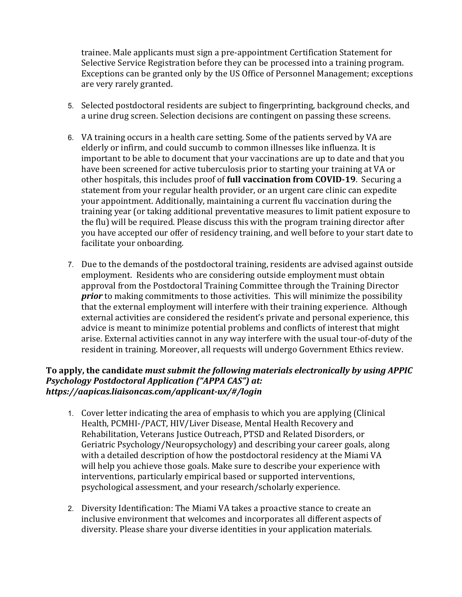trainee. Male applicants must sign a pre-appointment Certification Statement for Selective Service Registration before they can be processed into a training program. Exceptions can be granted only by the US Office of Personnel Management; exceptions are very rarely granted.

- 5. Selected postdoctoral residents are subject to fingerprinting, background checks, and a urine drug screen. Selection decisions are contingent on passing these screens.
- 6. VA training occurs in a health care setting. Some of the patients served by VA are elderly or infirm, and could succumb to common illnesses like influenza. It is important to be able to document that your vaccinations are up to date and that you have been screened for active tuberculosis prior to starting your training at VA or other hospitals, this includes proof of **full vaccination from COVID-19**. Securing a statement from your regular health provider, or an urgent care clinic can expedite your appointment. Additionally, maintaining a current flu vaccination during the training year (or taking additional preventative measures to limit patient exposure to the flu) will be required. Please discuss this with the program training director after you have accepted our offer of residency training, and well before to your start date to facilitate your onboarding.
- 7. Due to the demands of the postdoctoral training, residents are advised against outside employment. Residents who are considering outside employment must obtain approval from the Postdoctoral Training Committee through the Training Director *prior* to making commitments to those activities. This will minimize the possibility that the external employment will interfere with their training experience. Although external activities are considered the resident's private and personal experience, this advice is meant to minimize potential problems and conflicts of interest that might arise. External activities cannot in any way interfere with the usual tour-of-duty of the resident in training. Moreover, all requests will undergo Government Ethics review.

#### **To apply, the candidate** *must submit the following materials electronically by using APPIC Psychology Postdoctoral Application ("APPA CAS") at: https://aapicas.liaisoncas.com/applicant-ux/#/login*

- 1. Cover letter indicating the area of emphasis to which you are applying (Clinical Health, PCMHI-/PACT, HIV/Liver Disease, Mental Health Recovery and Rehabilitation, Veterans Justice Outreach, PTSD and Related Disorders, or Geriatric Psychology/Neuropsychology) and describing your career goals, along with a detailed description of how the postdoctoral residency at the Miami VA will help you achieve those goals. Make sure to describe your experience with interventions, particularly empirical based or supported interventions, psychological assessment, and your research/scholarly experience.
- 2. Diversity Identification: The Miami VA takes a proactive stance to create an inclusive environment that welcomes and incorporates all different aspects of diversity. Please share your diverse identities in your application materials.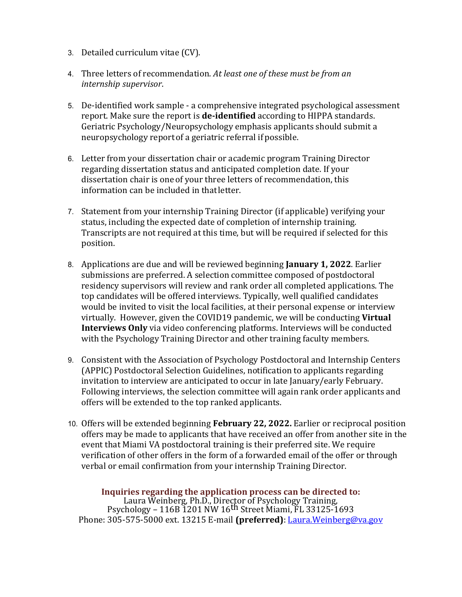- 3. Detailed curriculum vitae (CV).
- 4. Three letters of recommendation. *At least one of these must be from an internship supervisor*.
- 5. De-identified work sample a comprehensive integrated psychological assessment report. Make sure the report is **de-identified** according to HIPPA standards. Geriatric Psychology/Neuropsychology emphasis applicants should submit a neuropsychology reportof a geriatric referral if possible.
- 6. Letter from your dissertation chair or academic program Training Director regarding dissertation status and anticipated completion date. If your dissertation chair is oneof your three letters of recommendation, this information can be included in thatletter.
- 7. Statement from your internship Training Director (if applicable) verifying your status, including the expected date of completion of internship training. Transcripts are not required at this time, but will be required if selected for this position.
- 8. Applications are due and will be reviewed beginning **January 1, 2022**. Earlier submissions are preferred. A selection committee composed of postdoctoral residency supervisors will review and rank order all completed applications. The top candidates will be offered interviews. Typically, well qualified candidates would be invited to visit the local facilities, at their personal expense or interview virtually. However, given the COVID19 pandemic, we will be conducting **Virtual Interviews Only** via video conferencing platforms. Interviews will be conducted with the Psychology Training Director and other training faculty members.
- 9. Consistent with the Association of Psychology Postdoctoral and Internship Centers (APPIC) Postdoctoral Selection Guidelines, notification to applicants regarding invitation to interview are anticipated to occur in late January/early February. Following interviews, the selection committee will again rank order applicants and offers will be extended to the top ranked applicants.
- 10. Offers will be extended beginning **February 22, 2022.** Earlier or reciprocal position offers may be made to applicants that have received an offer from another site in the event that Miami VA postdoctoral training is their preferred site. We require verification of other offers in the form of a forwarded email of the offer or through verbal or email confirmation from your internship Training Director.

**Inquiries regarding the application process can be directed to:** Laura Weinberg, Ph.D., Director of Psychology Training, Psychology – 116B 1201 NW 16th Street Miami, FL 33125-1693 Phone: 305-575-5000 ext. 13215 E-mail **(preferred)**: Laura.Weinberg@va.gov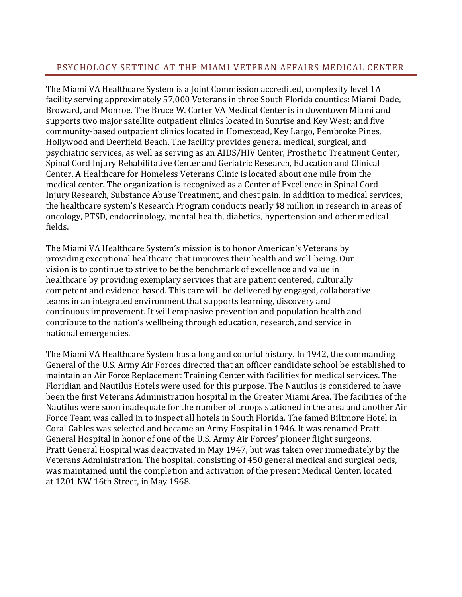## PSYCHOLOGY SETTING AT THE MIAMI VETERAN AFFAIRS MEDICAL CENTER

The Miami VA Healthcare System is a Joint Commission accredited, complexity level 1A facility serving approximately 57,000 Veterans in three South Florida counties: Miami-Dade, Broward, and Monroe. The Bruce W. Carter VA Medical Center is in downtown Miami and supports two major satellite outpatient clinics located in Sunrise and Key West; and five community-based outpatient clinics located in Homestead, Key Largo, Pembroke Pines, Hollywood and Deerfield Beach. The facility provides general medical, surgical, and psychiatric services, as well as serving as an AIDS/HIV Center, Prosthetic Treatment Center, Spinal Cord Injury Rehabilitative Center and Geriatric Research, Education and Clinical Center. A Healthcare for Homeless Veterans Clinic is located about one mile from the medical center. The organization is recognized as a Center of Excellence in Spinal Cord Injury Research, Substance Abuse Treatment, and chest pain. In addition to medical services, the healthcare system's Research Program conducts nearly \$8 million in research in areas of oncology, PTSD, endocrinology, mental health, diabetics, hypertension and other medical fields.

The Miami VA Healthcare System's mission is to honor American's Veterans by providing exceptional healthcare that improves their health and well-being. Our vision is to continue to strive to be the benchmark of excellence and value in healthcare by providing exemplary services that are patient centered, culturally competent and evidence based. This care will be delivered by engaged, collaborative teams in an integrated environment that supports learning, discovery and continuous improvement. It will emphasize prevention and population health and contribute to the nation's wellbeing through education, research, and service in national emergencies.

The Miami VA Healthcare System has a long and colorful history. In 1942, the commanding General of the U.S. Army Air Forces directed that an officer candidate school be established to maintain an Air Force Replacement Training Center with facilities for medical services. The Floridian and Nautilus Hotels were used for this purpose. The Nautilus is considered to have been the first Veterans Administration hospital in the Greater Miami Area. The facilities of the Nautilus were soon inadequate for the number of troops stationed in the area and another Air Force Team was called in to inspect all hotels in South Florida. The famed Biltmore Hotel in Coral Gables was selected and became an Army Hospital in 1946. It was renamed Pratt General Hospital in honor of one of the U.S. Army Air Forces' pioneer flight surgeons. Pratt General Hospital was deactivated in May 1947, but was taken over immediately by the Veterans Administration. The hospital, consisting of 450 general medical and surgical beds, was maintained until the completion and activation of the present Medical Center, located at 1201 NW 16th Street, in May 1968.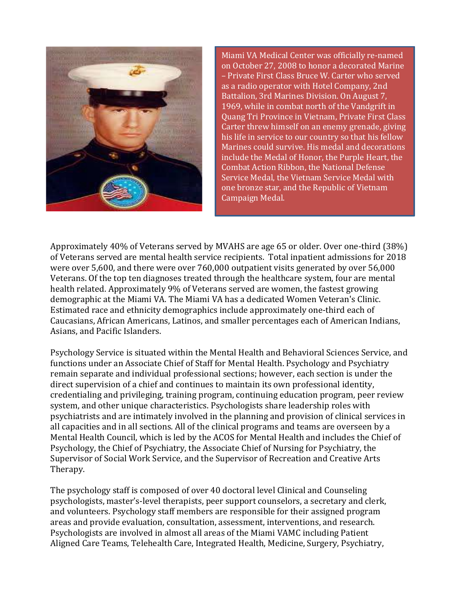

Miami VA Medical Center was officially re-named on October 27, 2008 to honor a decorated Marine – Private First Class Bruce W. Carter who served as a radio operator with Hotel Company, 2nd Battalion, 3rd Marines Division. On August 7, 1969, while in combat north of the Vandgrift in Quang Tri Province in Vietnam, Private First Class Carter threw himself on an enemy grenade, giving his life in service to our country so that his fellow Marines could survive. His medal and decorations include the Medal of Honor, the Purple Heart, the Combat Action Ribbon, the National Defense Service Medal, the Vietnam Service Medal with one bronze star, and the Republic of Vietnam Campaign Medal.

Approximately 40% of Veterans served by MVAHS are age 65 or older. Over one-third (38%) of Veterans served are mental health service recipients. Total inpatient admissions for 2018 were over 5,600, and there were over 760,000 outpatient visits generated by over 56,000 Veterans. Of the top ten diagnoses treated through the healthcare system, four are mental health related. Approximately 9% of Veterans served are women, the fastest growing demographic at the Miami VA. The Miami VA has a dedicated Women Veteran's Clinic. Estimated race and ethnicity demographics include approximately one-third each of Caucasians, African Americans, Latinos, and smaller percentages each of American Indians, Asians, and Pacific Islanders.

Psychology Service is situated within the Mental Health and Behavioral Sciences Service, and functions under an Associate Chief of Staff for Mental Health. Psychology and Psychiatry remain separate and individual professional sections; however, each section is under the direct supervision of a chief and continues to maintain its own professional identity, credentialing and privileging, training program, continuing education program, peer review system, and other unique characteristics. Psychologists share leadership roles with psychiatrists and are intimately involved in the planning and provision of clinical services in all capacities and in all sections. All of the clinical programs and teams are overseen by a Mental Health Council, which is led by the ACOS for Mental Health and includes the Chief of Psychology, the Chief of Psychiatry, the Associate Chief of Nursing for Psychiatry, the Supervisor of Social Work Service, and the Supervisor of Recreation and Creative Arts Therapy.

The psychology staff is composed of over 40 doctoral level Clinical and Counseling psychologists, master's-level therapists, peer support counselors, a secretary and clerk, and volunteers. Psychology staff members are responsible for their assigned program areas and provide evaluation, consultation, assessment, interventions, and research. Psychologists are involved in almost all areas of the Miami VAMC including Patient Aligned Care Teams, Telehealth Care, Integrated Health, Medicine, Surgery, Psychiatry,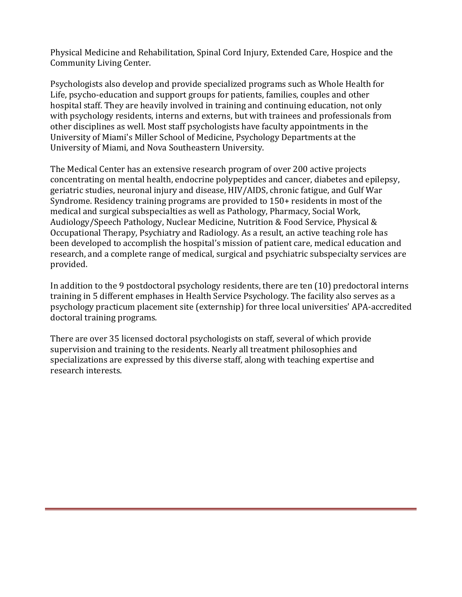Physical Medicine and Rehabilitation, Spinal Cord Injury, Extended Care, Hospice and the Community Living Center.

Psychologists also develop and provide specialized programs such as Whole Health for Life, psycho-education and support groups for patients, families, couples and other hospital staff. They are heavily involved in training and continuing education, not only with psychology residents, interns and externs, but with trainees and professionals from other disciplines as well. Most staff psychologists have faculty appointments in the University of Miami's Miller School of Medicine, Psychology Departments at the University of Miami, and Nova Southeastern University.

The Medical Center has an extensive research program of over 200 active projects concentrating on mental health, endocrine polypeptides and cancer, diabetes and epilepsy, geriatric studies, neuronal injury and disease, HIV/AIDS, chronic fatigue, and Gulf War Syndrome. Residency training programs are provided to 150+ residents in most of the medical and surgical subspecialties as well as Pathology, Pharmacy, Social Work, Audiology/Speech Pathology, Nuclear Medicine, Nutrition & Food Service, Physical & Occupational Therapy, Psychiatry and Radiology. As a result, an active teaching role has been developed to accomplish the hospital's mission of patient care, medical education and research, and a complete range of medical, surgical and psychiatric subspecialty services are provided.

In addition to the 9 postdoctoral psychology residents, there are ten (10) predoctoral interns training in 5 different emphases in Health Service Psychology. The facility also serves as a psychology practicum placement site (externship) for three local universities' APA-accredited doctoral training programs.

There are over 35 licensed doctoral psychologists on staff, several of which provide supervision and training to the residents. Nearly all treatment philosophies and specializations are expressed by this diverse staff, along with teaching expertise and research interests.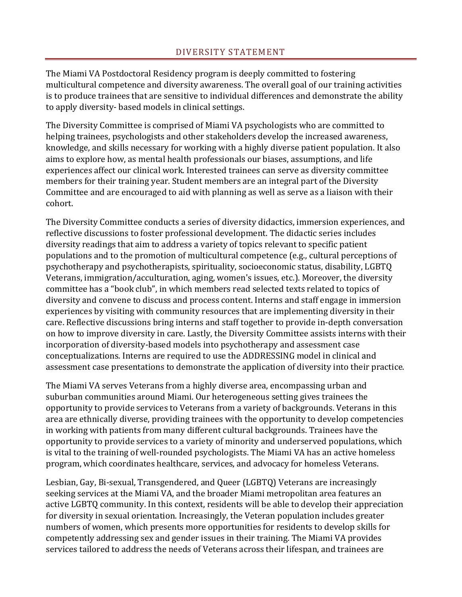The Miami VA Postdoctoral Residency program is deeply committed to fostering multicultural competence and diversity awareness. The overall goal of our training activities is to produce trainees that are sensitive to individual differences and demonstrate the ability to apply diversity- based models in clinical settings.

The Diversity Committee is comprised of Miami VA psychologists who are committed to helping trainees, psychologists and other stakeholders develop the increased awareness, knowledge, and skills necessary for working with a highly diverse patient population. It also aims to explore how, as mental health professionals our biases, assumptions, and life experiences affect our clinical work. Interested trainees can serve as diversity committee members for their training year. Student members are an integral part of the Diversity Committee and are encouraged to aid with planning as well as serve as a liaison with their cohort.

The Diversity Committee conducts a series of diversity didactics, immersion experiences, and reflective discussions to foster professional development. The didactic series includes diversity readings that aim to address a variety of topics relevant to specific patient populations and to the promotion of multicultural competence (e.g., cultural perceptions of psychotherapy and psychotherapists, spirituality, socioeconomic status, disability, LGBTQ Veterans, immigration/acculturation, aging, women's issues, etc.). Moreover, the diversity committee has a "book club", in which members read selected texts related to topics of diversity and convene to discuss and process content. Interns and staff engage in immersion experiences by visiting with community resources that are implementing diversity in their care. Reflective discussions bring interns and staff together to provide in-depth conversation on how to improve diversity in care. Lastly, the Diversity Committee assists interns with their incorporation of diversity-based models into psychotherapy and assessment case conceptualizations. Interns are required to use the ADDRESSING model in clinical and assessment case presentations to demonstrate the application of diversity into their practice.

The Miami VA serves Veterans from a highly diverse area, encompassing urban and suburban communities around Miami. Our heterogeneous setting gives trainees the opportunity to provide services to Veterans from a variety of backgrounds. Veterans in this area are ethnically diverse, providing trainees with the opportunity to develop competencies in working with patients from many different cultural backgrounds. Trainees have the opportunity to provide services to a variety of minority and underserved populations, which is vital to the training of well-rounded psychologists. The Miami VA has an active homeless program, which coordinates healthcare, services, and advocacy for homeless Veterans.

Lesbian, Gay, Bi-sexual, Transgendered, and Queer (LGBTQ) Veterans are increasingly seeking services at the Miami VA, and the broader Miami metropolitan area features an active LGBTQ community. In this context, residents will be able to develop their appreciation for diversity in sexual orientation. Increasingly, the Veteran population includes greater numbers of women, which presents more opportunities for residents to develop skills for competently addressing sex and gender issues in their training. The Miami VA provides services tailored to address the needs of Veterans across their lifespan, and trainees are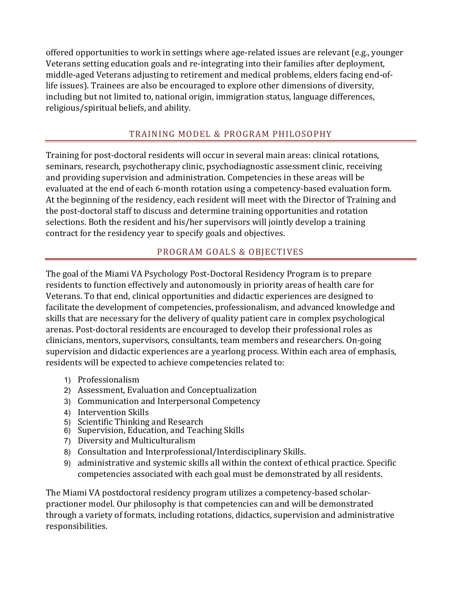offered opportunities to work in settings where age-related issues are relevant (e.g., younger Veterans setting education goals and re-integrating into their families after deployment, middle-aged Veterans adjusting to retirement and medical problems, elders facing end-oflife issues). Trainees are also be encouraged to explore other dimensions of diversity, including but not limited to, national origin, immigration status, language differences, religious/spiritual beliefs, and ability.

# TRAINING MODEL & PROGRAM PHILOSOPHY

Training for post-doctoral residents will occur in several main areas: clinical rotations, seminars, research, psychotherapy clinic, psychodiagnostic assessment clinic, receiving and providing supervision and administration. Competencies in these areas will be evaluated at the end of each 6-month rotation using a competency-based evaluation form. At the beginning of the residency, each resident will meet with the Director of Training and the post-doctoral staff to discuss and determine training opportunities and rotation selections. Both the resident and his/her supervisors will jointly develop a training contract for the residency year to specify goals and objectives.

# PROGRAM GOALS & OBJECTIVES

The goal of the Miami VA Psychology Post-Doctoral Residency Program is to prepare residents to function effectively and autonomously in priority areas of health care for Veterans. To that end, clinical opportunities and didactic experiences are designed to facilitate the development of competencies, professionalism, and advanced knowledge and skills that are necessary for the delivery of quality patient care in complex psychological arenas. Post-doctoral residents are encouraged to develop their professional roles as clinicians, mentors, supervisors, consultants, team members and researchers. On-going supervision and didactic experiences are a yearlong process. Within each area of emphasis, residents will be expected to achieve competencies related to:

- 1) Professionalism
- 2) Assessment, Evaluation and Conceptualization
- 3) Communication and Interpersonal Competency
- 4) Intervention Skills
- 5) Scientific Thinking and Research
- 6) Supervision, Education, and Teaching Skills
- 7) Diversity and Multiculturalism
- 8) Consultation and Interprofessional/Interdisciplinary Skills.
- 9) administrative and systemic skills all within the context of ethical practice. Specific competencies associated with each goal must be demonstrated by all residents.

The Miami VA postdoctoral residency program utilizes a competency-based scholarpractioner model. Our philosophy is that competencies can and will be demonstrated through a variety of formats, including rotations, didactics, supervision and administrative responsibilities.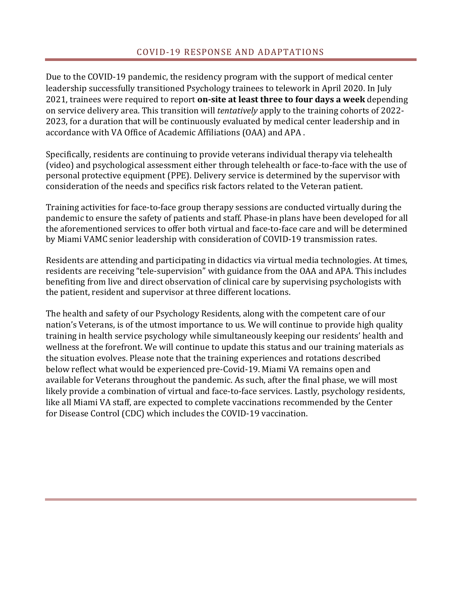Due to the COVID-19 pandemic, the residency program with the support of medical center leadership successfully transitioned Psychology trainees to telework in April 2020. In July 2021, trainees were required to report **on-site at least three to four days a week** depending on service delivery area. This transition will *tentatively* apply to the training cohorts of 2022- 2023, for a duration that will be continuously evaluated by medical center leadership and in accordance with VA Office of Academic Affiliations (OAA) and APA .

Specifically, residents are continuing to provide veterans individual therapy via telehealth (video) and psychological assessment either through telehealth or face-to-face with the use of personal protective equipment (PPE). Delivery service is determined by the supervisor with consideration of the needs and specifics risk factors related to the Veteran patient.

Training activities for face-to-face group therapy sessions are conducted virtually during the pandemic to ensure the safety of patients and staff. Phase-in plans have been developed for all the aforementioned services to offer both virtual and face-to-face care and will be determined by Miami VAMC senior leadership with consideration of COVID-19 transmission rates.

Residents are attending and participating in didactics via virtual media technologies. At times, residents are receiving "tele-supervision" with guidance from the OAA and APA. This includes benefiting from live and direct observation of clinical care by supervising psychologists with the patient, resident and supervisor at three different locations.

The health and safety of our Psychology Residents, along with the competent care of our nation's Veterans, is of the utmost importance to us. We will continue to provide high quality training in health service psychology while simultaneously keeping our residents' health and wellness at the forefront. We will continue to update this status and our training materials as the situation evolves. Please note that the training experiences and rotations described below reflect what would be experienced pre-Covid-19. Miami VA remains open and available for Veterans throughout the pandemic. As such, after the final phase, we will most likely provide a combination of virtual and face-to-face services. Lastly, psychology residents, like all Miami VA staff, are expected to complete vaccinations recommended by the Center for Disease Control (CDC) which includes the COVID-19 vaccination.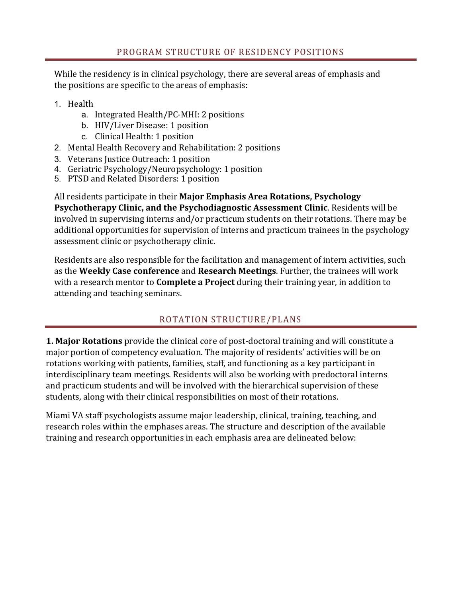While the residency is in clinical psychology, there are several areas of emphasis and the positions are specific to the areas of emphasis:

- 1. Health
	- a. Integrated Health/PC-MHI: 2 positions
	- b. HIV/Liver Disease: 1 position
	- c. Clinical Health: 1 position
- 2. Mental Health Recovery and Rehabilitation: 2 positions
- 3. Veterans Justice Outreach: 1 position
- 4. Geriatric Psychology/Neuropsychology: 1 position
- 5. PTSD and Related Disorders: 1 position

All residents participate in their **Major Emphasis Area Rotations, Psychology Psychotherapy Clinic, and the Psychodiagnostic Assessment Clinic**. Residents will be involved in supervising interns and/or practicum students on their rotations. There may be additional opportunities for supervision of interns and practicum trainees in the psychology assessment clinic or psychotherapy clinic.

Residents are also responsible for the facilitation and management of intern activities, such as the **Weekly Case conference** and **Research Meetings**. Further, the trainees will work with a research mentor to **Complete a Project** during their training year, in addition to attending and teaching seminars.

# ROTATION STRUCTURE/PLANS

**1. Major Rotations** provide the clinical core of post-doctoral training and will constitute a major portion of competency evaluation. The majority of residents' activities will be on rotations working with patients, families, staff, and functioning as a key participant in interdisciplinary team meetings. Residents will also be working with predoctoral interns and practicum students and will be involved with the hierarchical supervision of these students, along with their clinical responsibilities on most of their rotations.

Miami VA staff psychologists assume major leadership, clinical, training, teaching, and research roles within the emphases areas. The structure and description of the available training and research opportunities in each emphasis area are delineated below: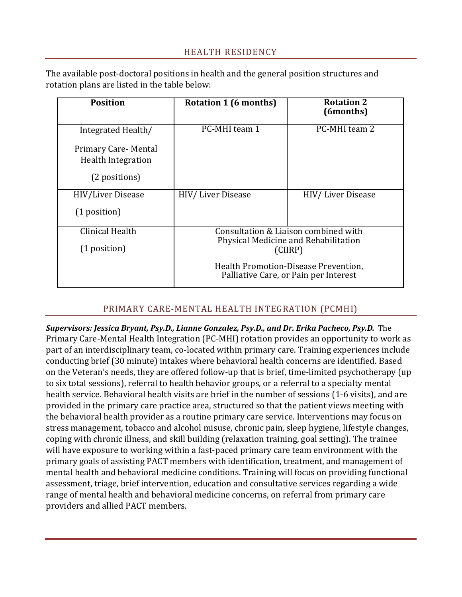The available post-doctoral positions in health and the general position structures and rotation plans are listed in the table below:

| <b>Position</b>                                                   | Rotation 1 (6 months)                                                                   | <b>Rotation 2</b><br>(6months) |
|-------------------------------------------------------------------|-----------------------------------------------------------------------------------------|--------------------------------|
| Integrated Health/                                                | PC-MHI team 1                                                                           | PC-MHI team 2                  |
| Primary Care-Mental<br><b>Health Integration</b><br>(2 positions) |                                                                                         |                                |
| <b>HIV/Liver Disease</b>                                          | HIV/Liver Disease                                                                       | HIV/Liver Disease              |
| $(1$ position)                                                    |                                                                                         |                                |
| Clinical Health                                                   | Consultation & Liaison combined with<br>Physical Medicine and Rehabilitation<br>(CIIRP) |                                |
| (1 position)                                                      |                                                                                         |                                |
|                                                                   | Health Promotion-Disease Prevention,<br>Palliative Care, or Pain per Interest           |                                |

## PRIMARY CARE-MENTAL HEALTH INTEGRATION (PCMHI)

*Supervisors: Jessica Bryant, Psy.D., Lianne Gonzalez, Psy.D., and Dr. Erika Pacheco, Psy.D.* The Primary Care-Mental Health Integration (PC-MHI) rotation provides an opportunity to work as part of an interdisciplinary team, co-located within primary care. Training experiences include conducting brief (30 minute) intakes where behavioral health concerns are identified. Based on the Veteran's needs, they are offered follow-up that is brief, time-limited psychotherapy (up to six total sessions), referral to health behavior groups, or a referral to a specialty mental health service. Behavioral health visits are brief in the number of sessions (1-6 visits), and are provided in the primary care practice area, structured so that the patient views meeting with the behavioral health provider as a routine primary care service. Interventions may focus on stress management, tobacco and alcohol misuse, chronic pain, sleep hygiene, lifestyle changes, coping with chronic illness, and skill building (relaxation training, goal setting). The trainee will have exposure to working within a fast-paced primary care team environment with the primary goals of assisting PACT members with identification, treatment, and management of mental health and behavioral medicine conditions. Training will focus on providing functional assessment, triage, brief intervention, education and consultative services regarding a wide range of mental health and behavioral medicine concerns, on referral from primary care providers and allied PACT members.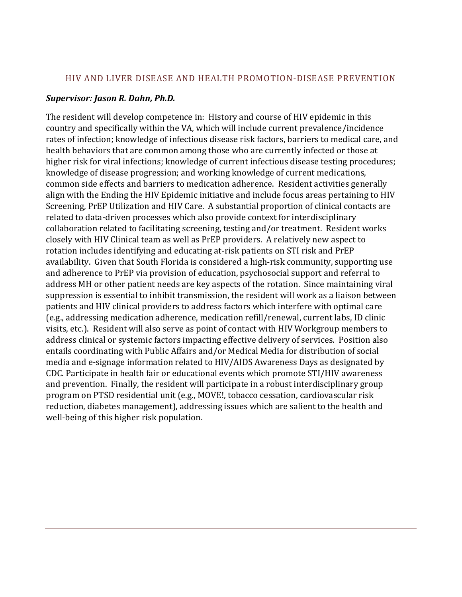#### *Supervisor: Jason R. Dahn, Ph.D.*

The resident will develop competence in: History and course of HIV epidemic in this country and specifically within the VA, which will include current prevalence/incidence rates of infection; knowledge of infectious disease risk factors, barriers to medical care, and health behaviors that are common among those who are currently infected or those at higher risk for viral infections; knowledge of current infectious disease testing procedures; knowledge of disease progression; and working knowledge of current medications, common side effects and barriers to medication adherence. Resident activities generally align with the Ending the HIV Epidemic initiative and include focus areas pertaining to HIV Screening, PrEP Utilization and HIV Care. A substantial proportion of clinical contacts are related to data-driven processes which also provide context for interdisciplinary collaboration related to facilitating screening, testing and/or treatment. Resident works closely with HIV Clinical team as well as PrEP providers. A relatively new aspect to rotation includes identifying and educating at-risk patients on STI risk and PrEP availability. Given that South Florida is considered a high-risk community, supporting use and adherence to PrEP via provision of education, psychosocial support and referral to address MH or other patient needs are key aspects of the rotation. Since maintaining viral suppression is essential to inhibit transmission, the resident will work as a liaison between patients and HIV clinical providers to address factors which interfere with optimal care (e.g., addressing medication adherence, medication refill/renewal, current labs, ID clinic visits, etc.). Resident will also serve as point of contact with HIV Workgroup members to address clinical or systemic factors impacting effective delivery of services. Position also entails coordinating with Public Affairs and/or Medical Media for distribution of social media and e-signage information related to HIV/AIDS Awareness Days as designated by CDC. Participate in health fair or educational events which promote STI/HIV awareness and prevention. Finally, the resident will participate in a robust interdisciplinary group program on PTSD residential unit (e.g., MOVE!, tobacco cessation, cardiovascular risk reduction, diabetes management), addressing issues which are salient to the health and well-being of this higher risk population.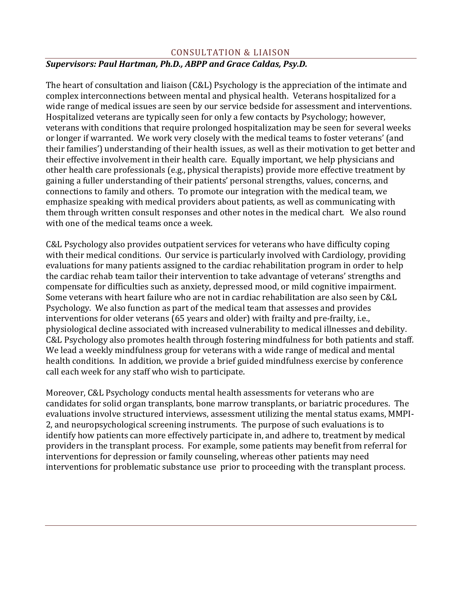## CONSULTATION & LIAISON

## *Supervisors: Paul Hartman, Ph.D., ABPP and Grace Caldas, Psy.D.*

The heart of consultation and liaison (C&L) Psychology is the appreciation of the intimate and complex interconnections between mental and physical health. Veterans hospitalized for a wide range of medical issues are seen by our service bedside for assessment and interventions. Hospitalized veterans are typically seen for only a few contacts by Psychology; however, veterans with conditions that require prolonged hospitalization may be seen for several weeks or longer if warranted. We work very closely with the medical teams to foster veterans' (and their families') understanding of their health issues, as well as their motivation to get better and their effective involvement in their health care. Equally important, we help physicians and other health care professionals (e.g., physical therapists) provide more effective treatment by gaining a fuller understanding of their patients' personal strengths, values, concerns, and connections to family and others. To promote our integration with the medical team, we emphasize speaking with medical providers about patients, as well as communicating with them through written consult responses and other notes in the medical chart. We also round with one of the medical teams once a week.

C&L Psychology also provides outpatient services for veterans who have difficulty coping with their medical conditions. Our service is particularly involved with Cardiology, providing evaluations for many patients assigned to the cardiac rehabilitation program in order to help the cardiac rehab team tailor their intervention to take advantage of veterans' strengths and compensate for difficulties such as anxiety, depressed mood, or mild cognitive impairment. Some veterans with heart failure who are not in cardiac rehabilitation are also seen by C&L Psychology. We also function as part of the medical team that assesses and provides interventions for older veterans (65 years and older) with frailty and pre-frailty, i.e., physiological decline associated with increased vulnerability to medical illnesses and debility. C&L Psychology also promotes health through fostering mindfulness for both patients and staff. We lead a weekly mindfulness group for veterans with a wide range of medical and mental health conditions. In addition, we provide a brief guided mindfulness exercise by conference call each week for any staff who wish to participate.

Moreover, C&L Psychology conducts mental health assessments for veterans who are candidates for solid organ transplants, bone marrow transplants, or bariatric procedures. The evaluations involve structured interviews, assessment utilizing the mental status exams, MMPI-2, and neuropsychological screening instruments. The purpose of such evaluations is to identify how patients can more effectively participate in, and adhere to, treatment by medical providers in the transplant process. For example, some patients may benefit from referral for interventions for depression or family counseling, whereas other patients may need interventions for problematic substance use prior to proceeding with the transplant process.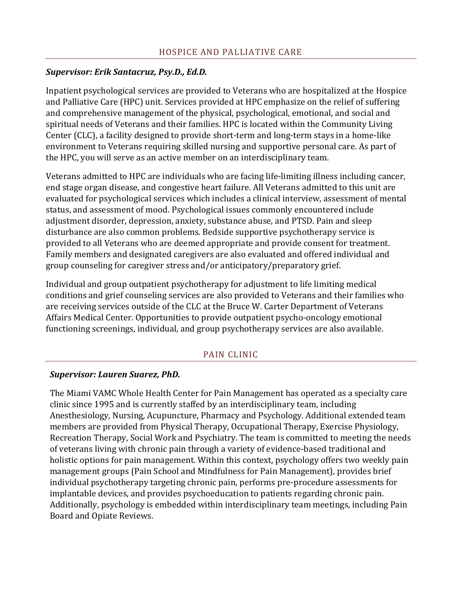## *Supervisor: Erik Santacruz, Psy.D., Ed.D.*

Inpatient psychological services are provided to Veterans who are hospitalized at the Hospice and Palliative Care (HPC) unit. Services provided at HPC emphasize on the relief of suffering and comprehensive management of the physical, psychological, emotional, and social and spiritual needs of Veterans and their families. HPC is located within the Community Living Center (CLC), a facility designed to provide short-term and long-term stays in a home-like environment to Veterans requiring skilled nursing and supportive personal care. As part of the HPC, you will serve as an active member on an interdisciplinary team.

Veterans admitted to HPC are individuals who are facing life-limiting illness including cancer, end stage organ disease, and congestive heart failure. All Veterans admitted to this unit are evaluated for psychological services which includes a clinical interview, assessment of mental status, and assessment of mood. Psychological issues commonly encountered include adjustment disorder, depression, anxiety, substance abuse, and PTSD. Pain and sleep disturbance are also common problems. Bedside supportive psychotherapy service is provided to all Veterans who are deemed appropriate and provide consent for treatment. Family members and designated caregivers are also evaluated and offered individual and group counseling for caregiver stress and/or anticipatory/preparatory grief.

Individual and group outpatient psychotherapy for adjustment to life limiting medical conditions and grief counseling services are also provided to Veterans and their families who are receiving services outside of the CLC at the Bruce W. Carter Department of Veterans Affairs Medical Center. Opportunities to provide outpatient psycho-oncology emotional functioning screenings, individual, and group psychotherapy services are also available.

## PAIN CLINIC

## *Supervisor: Lauren Suarez, PhD.*

The Miami VAMC Whole Health Center for Pain Management has operated as a specialty care clinic since 1995 and is currently staffed by an interdisciplinary team, including Anesthesiology, Nursing, Acupuncture, Pharmacy and Psychology. Additional extended team members are provided from Physical Therapy, Occupational Therapy, Exercise Physiology, Recreation Therapy, Social Work and Psychiatry. The team is committed to meeting the needs of veterans living with chronic pain through a variety of evidence-based traditional and holistic options for pain management. Within this context, psychology offers two weekly pain management groups (Pain School and Mindfulness for Pain Management), provides brief individual psychotherapy targeting chronic pain, performs pre-procedure assessments for implantable devices, and provides psychoeducation to patients regarding chronic pain. Additionally, psychology is embedded within interdisciplinary team meetings, including Pain Board and Opiate Reviews.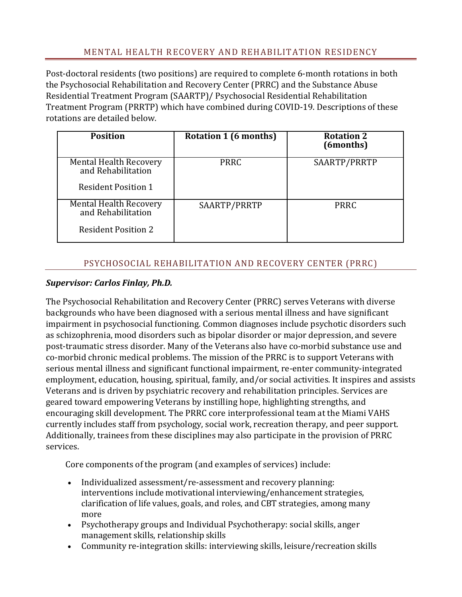# MENTAL HEALTH RECOVERY AND REHABILITATION RESIDENCY

Post-doctoral residents (two positions) are required to complete 6-month rotations in both the Psychosocial Rehabilitation and Recovery Center (PRRC) and the Substance Abuse Residential Treatment Program (SAARTP)/ Psychosocial Residential Rehabilitation Treatment Program (PRRTP) which have combined during COVID-19. Descriptions of these rotations are detailed below.

| <b>Position</b>                                                                   | Rotation 1 (6 months) | <b>Rotation 2</b><br>(6months) |
|-----------------------------------------------------------------------------------|-----------------------|--------------------------------|
| <b>Mental Health Recovery</b><br>and Rehabilitation<br><b>Resident Position 1</b> | <b>PRRC</b>           | SAARTP/PRRTP                   |
| <b>Mental Health Recovery</b><br>and Rehabilitation<br><b>Resident Position 2</b> | SAARTP/PRRTP          | <b>PRRC</b>                    |

# PSYCHOSOCIAL REHABILITATION AND RECOVERY CENTER (PRRC)

## *Supervisor: Carlos Finlay, Ph.D.*

The Psychosocial Rehabilitation and Recovery Center (PRRC) serves Veterans with diverse backgrounds who have been diagnosed with a serious mental illness and have significant impairment in psychosocial functioning. Common diagnoses include psychotic disorders such as schizophrenia, mood disorders such as bipolar disorder or major depression, and severe post-traumatic stress disorder. Many of the Veterans also have co-morbid substance use and co-morbid chronic medical problems. The mission of the PRRC is to support Veterans with serious mental illness and significant functional impairment, re-enter community-integrated employment, education, housing, spiritual, family, and/or social activities. It inspires and assists Veterans and is driven by psychiatric recovery and rehabilitation principles. Services are geared toward empowering Veterans by instilling hope, highlighting strengths, and encouraging skill development. The PRRC core interprofessional team at the Miami VAHS currently includes staff from psychology, social work, recreation therapy, and peer support. Additionally, trainees from these disciplines may also participate in the provision of PRRC services.

Core components of the program (and examples of services) include:

- Individualized assessment/re-assessment and recovery planning: interventions include motivational interviewing/enhancement strategies, clarification of life values, goals, and roles, and CBT strategies, among many more
- Psychotherapy groups and Individual Psychotherapy: social skills, anger management skills, relationship skills
- Community re-integration skills: interviewing skills, leisure/recreation skills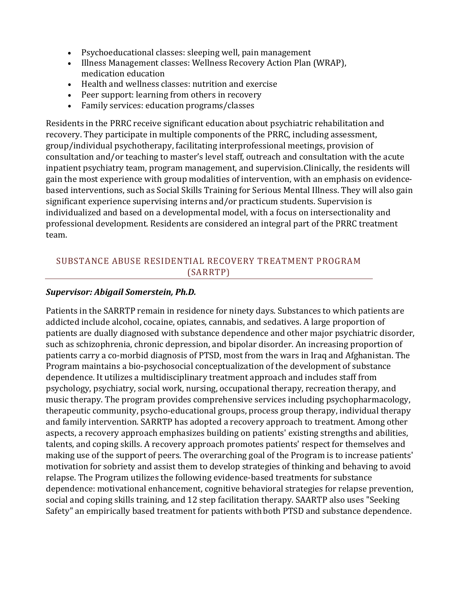- Psychoeducational classes: sleeping well, pain management
- Illness Management classes: Wellness Recovery Action Plan (WRAP), medication education
- Health and wellness classes: nutrition and exercise
- Peer support: learning from others in recovery
- Family services: education programs/classes

Residents in the PRRC receive significant education about psychiatric rehabilitation and recovery. They participate in multiple components of the PRRC, including assessment, group/individual psychotherapy, facilitating interprofessional meetings, provision of consultation and/or teaching to master's level staff, outreach and consultation with the acute inpatient psychiatry team, program management, and supervision.Clinically, the residents will gain the most experience with group modalities of intervention, with an emphasis on evidencebased interventions, such as Social Skills Training for Serious Mental Illness. They will also gain significant experience supervising interns and/or practicum students. Supervision is individualized and based on a developmental model, with a focus on intersectionality and professional development. Residents are considered an integral part of the PRRC treatment team.

# SUBSTANCE ABUSE RESIDENTIAL RECOVERY TREATMENT PROGRAM (SARRTP)

#### *Supervisor: Abigail Somerstein, Ph.D.*

Patients in the SARRTP remain in residence for ninety days. Substances to which patients are addicted include alcohol, cocaine, opiates, cannabis, and sedatives. A large proportion of patients are dually diagnosed with substance dependence and other major psychiatric disorder, such as schizophrenia, chronic depression, and bipolar disorder. An increasing proportion of patients carry a co-morbid diagnosis of PTSD, most from the wars in Iraq and Afghanistan. The Program maintains a bio-psychosocial conceptualization of the development of substance dependence. It utilizes a multidisciplinary treatment approach and includes staff from psychology, psychiatry, social work, nursing, occupational therapy, recreation therapy, and music therapy. The program provides comprehensive services including psychopharmacology, therapeutic community, psycho-educational groups, process group therapy, individual therapy and family intervention. SARRTP has adopted a recovery approach to treatment. Among other aspects, a recovery approach emphasizes building on patients' existing strengths and abilities, talents, and coping skills. A recovery approach promotes patients' respect for themselves and making use of the support of peers. The overarching goal of the Program is to increase patients' motivation for sobriety and assist them to develop strategies of thinking and behaving to avoid relapse. The Program utilizes the following evidence-based treatments for substance dependence: motivational enhancement, cognitive behavioral strategies for relapse prevention, social and coping skills training, and 12 step facilitation therapy. SAARTP also uses "Seeking Safety" an empirically based treatment for patients withboth PTSD and substance dependence.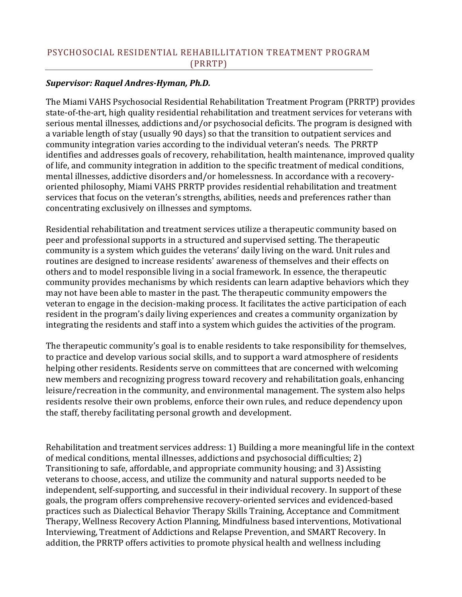## *Supervisor: Raquel Andres-Hyman, Ph.D.*

The Miami VAHS Psychosocial Residential Rehabilitation Treatment Program (PRRTP) provides state-of-the-art, high quality residential rehabilitation and treatment services for veterans with serious mental illnesses, addictions and/or psychosocial deficits. The program is designed with a variable length of stay (usually 90 days) so that the transition to outpatient services and community integration varies according to the individual veteran's needs. The PRRTP identifies and addresses goals of recovery, rehabilitation, health maintenance, improved quality of life, and community integration in addition to the specific treatment of medical conditions, mental illnesses, addictive disorders and/or homelessness. In accordance with a recoveryoriented philosophy, Miami VAHS PRRTP provides residential rehabilitation and treatment services that focus on the veteran's strengths, abilities, needs and preferences rather than concentrating exclusively on illnesses and symptoms.

Residential rehabilitation and treatment services utilize a therapeutic community based on peer and professional supports in a structured and supervised setting. The therapeutic community is a system which guides the veterans' daily living on the ward. Unit rules and routines are designed to increase residents' awareness of themselves and their effects on others and to model responsible living in a social framework. In essence, the therapeutic community provides mechanisms by which residents can learn adaptive behaviors which they may not have been able to master in the past. The therapeutic community empowers the veteran to engage in the decision-making process. It facilitates the active participation of each resident in the program's daily living experiences and creates a community organization by integrating the residents and staff into a system which guides the activities of the program.

The therapeutic community's goal is to enable residents to take responsibility for themselves, to practice and develop various social skills, and to support a ward atmosphere of residents helping other residents. Residents serve on committees that are concerned with welcoming new members and recognizing progress toward recovery and rehabilitation goals, enhancing leisure/recreation in the community, and environmental management. The system also helps residents resolve their own problems, enforce their own rules, and reduce dependency upon the staff, thereby facilitating personal growth and development.

Rehabilitation and treatment services address: 1) Building a more meaningful life in the context of medical conditions, mental illnesses, addictions and psychosocial difficulties; 2) Transitioning to safe, affordable, and appropriate community housing; and 3) Assisting veterans to choose, access, and utilize the community and natural supports needed to be independent, self-supporting, and successful in their individual recovery. In support of these goals, the program offers comprehensive recovery-oriented services and evidenced-based practices such as Dialectical Behavior Therapy Skills Training, Acceptance and Commitment Therapy, Wellness Recovery Action Planning, Mindfulness based interventions, Motivational Interviewing, Treatment of Addictions and Relapse Prevention, and SMART Recovery. In addition, the PRRTP offers activities to promote physical health and wellness including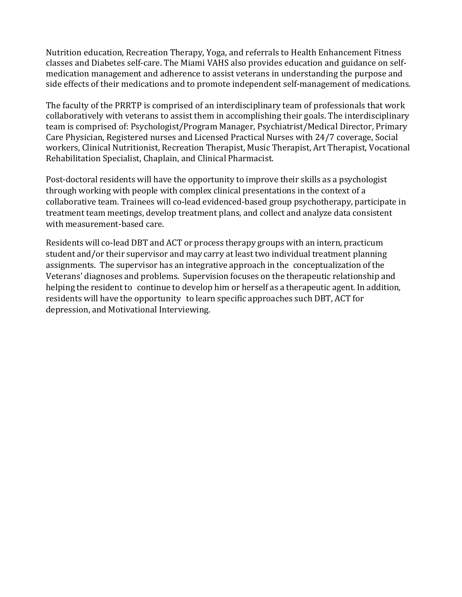Nutrition education, Recreation Therapy, Yoga, and referrals to Health Enhancement Fitness classes and Diabetes self-care. The Miami VAHS also provides education and guidance on selfmedication management and adherence to assist veterans in understanding the purpose and side effects of their medications and to promote independent self-management of medications.

The faculty of the PRRTP is comprised of an interdisciplinary team of professionals that work collaboratively with veterans to assist them in accomplishing their goals. The interdisciplinary team is comprised of: Psychologist/Program Manager, Psychiatrist/Medical Director, Primary Care Physician, Registered nurses and Licensed Practical Nurses with 24/7 coverage, Social workers, Clinical Nutritionist, Recreation Therapist, Music Therapist, Art Therapist, Vocational Rehabilitation Specialist, Chaplain, and Clinical Pharmacist.

Post-doctoral residents will have the opportunity to improve their skills as a psychologist through working with people with complex clinical presentations in the context of a collaborative team. Trainees will co-lead evidenced-based group psychotherapy, participate in treatment team meetings, develop treatment plans, and collect and analyze data consistent with measurement-based care.

Residents will co-lead DBT and ACT or process therapy groups with an intern, practicum student and/or their supervisor and may carry at least two individual treatment planning assignments. The supervisor has an integrative approach in the conceptualization of the Veterans' diagnoses and problems. Supervision focuses on the therapeutic relationship and helping the resident to continue to develop him or herself as a therapeutic agent. In addition, residents will have the opportunity to learn specific approaches such DBT, ACT for depression, and Motivational Interviewing.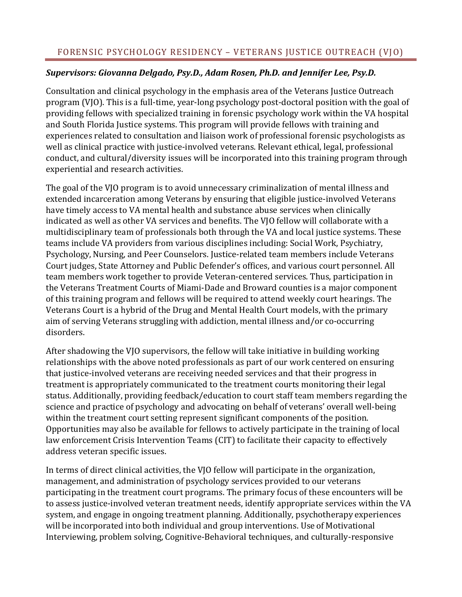# FORENSIC PSYCHOLOGY RESIDENCY – VETERANS JUSTICE OUTREACH (VJO)

# *Supervisors: Giovanna Delgado, Psy.D., Adam Rosen, Ph.D. and Jennifer Lee, Psy.D.*

Consultation and clinical psychology in the emphasis area of the Veterans Justice Outreach program (VJO). This is a full-time, year-long psychology post-doctoral position with the goal of providing fellows with specialized training in forensic psychology work within the VA hospital and South Florida Justice systems. This program will provide fellows with training and experiences related to consultation and liaison work of professional forensic psychologists as well as clinical practice with justice-involved veterans. Relevant ethical, legal, professional conduct, and cultural/diversity issues will be incorporated into this training program through experiential and research activities.

The goal of the VJO program is to avoid unnecessary criminalization of mental illness and extended incarceration among Veterans by ensuring that eligible justice-involved Veterans have timely access to VA mental health and substance abuse services when clinically indicated as well as other VA services and benefits. The VJO fellow will collaborate with a multidisciplinary team of professionals both through the VA and local justice systems. These teams include VA providers from various disciplines including: Social Work, Psychiatry, Psychology,Nursing, and Peer Counselors. Justice-related team members include Veterans Court judges, State Attorney and Public Defender's offices, and various court personnel. All team members work together to provide Veteran-centered services. Thus, participation in the Veterans Treatment Courts of Miami-Dade and Broward counties is a major component of this training program and fellows will be required to attend weekly court hearings. The Veterans Court is a hybrid of the Drug and Mental Health Court models, with the primary aim of serving Veterans struggling with addiction, mental illness and/or co-occurring disorders.

After shadowing the VJO supervisors, the fellow will take initiative in building working relationships with the above noted professionals as part of our work centered on ensuring that justice-involved veterans are receiving needed services and that their progress in treatment is appropriately communicated to the treatment courts monitoring their legal status. Additionally, providing feedback/education to court staff team members regarding the science and practice of psychology and advocating on behalf of veterans' overall well-being within the treatment court setting represent significant components of the position. Opportunities may also be available for fellows to actively participate in the training of local law enforcement Crisis Intervention Teams (CIT) to facilitate their capacity to effectively address veteran specific issues.

In terms of direct clinical activities, the VJO fellow will participate in the organization, management, and administration of psychology services provided to our veterans participating in the treatment court programs. The primary focus of these encounters will be to assess justice-involved veteran treatment needs, identify appropriate services within the VA system, and engage in ongoing treatment planning. Additionally, psychotherapy experiences will be incorporated into both individual and group interventions. Use of Motivational Interviewing, problem solving, Cognitive-Behavioral techniques, and culturally-responsive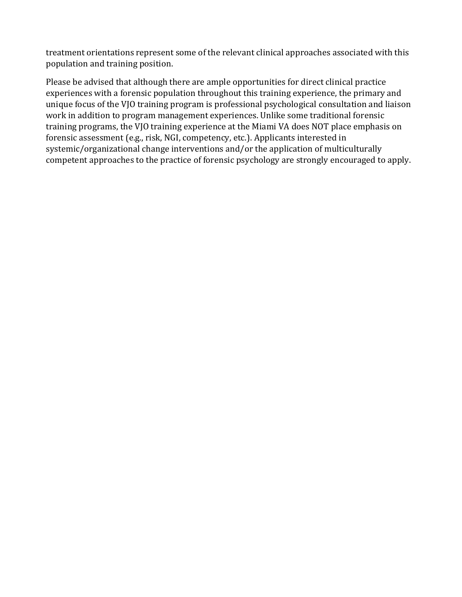treatment orientations represent some of the relevant clinical approaches associated with this population and training position.

Please be advised that although there are ample opportunities for direct clinical practice experiences with a forensic population throughout this training experience, the primary and unique focus of the VJO training program is professional psychological consultation and liaison work in addition to program management experiences. Unlike some traditional forensic training programs, the VJO training experience at the Miami VA does NOT place emphasis on forensic assessment (e.g., risk, NGI, competency, etc.). Applicants interested in systemic/organizational change interventions and/or the application of multiculturally competent approaches to the practice of forensic psychology are strongly encouraged to apply.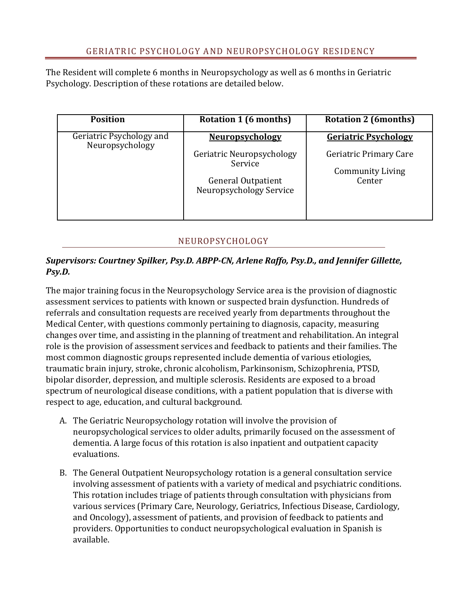The Resident will complete 6 months in Neuropsychology as well as 6 months in Geriatric Psychology. Description of these rotations are detailed below.

| <b>Position</b>                             | Rotation 1 (6 months)                                                                                                  | <b>Rotation 2 (6months)</b>                                                                |
|---------------------------------------------|------------------------------------------------------------------------------------------------------------------------|--------------------------------------------------------------------------------------------|
| Geriatric Psychology and<br>Neuropsychology | <b>Neuropsychology</b><br>Geriatric Neuropsychology<br>Service<br><b>General Outpatient</b><br>Neuropsychology Service | <b>Geriatric Psychology</b><br>Geriatric Primary Care<br><b>Community Living</b><br>Center |

## NEUROPSYCHOLOGY

## *Supervisors: Courtney Spilker, Psy.D. ABPP-CN, Arlene Raffo, Psy.D., and Jennifer Gillette, Psy.D.*

The major training focus in the Neuropsychology Service area is the provision of diagnostic assessment services to patients with known or suspected brain dysfunction. Hundreds of referrals and consultation requests are received yearly from departments throughout the Medical Center, with questions commonly pertaining to diagnosis, capacity, measuring changes over time, and assisting in the planning of treatment and rehabilitation. An integral role is the provision of assessment services and feedback to patients and their families. The most common diagnostic groups represented include dementia of various etiologies, traumatic brain injury, stroke, chronic alcoholism, Parkinsonism, Schizophrenia, PTSD, bipolar disorder, depression, and multiple sclerosis. Residents are exposed to a broad spectrum of neurological disease conditions, with a patient population that is diverse with respect to age, education, and cultural background.

- A. The Geriatric Neuropsychology rotation will involve the provision of neuropsychological services to older adults, primarily focused on the assessment of dementia. A large focus of this rotation is also inpatient and outpatient capacity evaluations.
- B. The General Outpatient Neuropsychology rotation is a general consultation service involving assessment of patients with a variety of medical and psychiatric conditions. This rotation includes triage of patients through consultation with physicians from various services (Primary Care, Neurology, Geriatrics, Infectious Disease, Cardiology, and Oncology), assessment of patients, and provision of feedback to patients and providers. Opportunities to conduct neuropsychological evaluation in Spanish is available.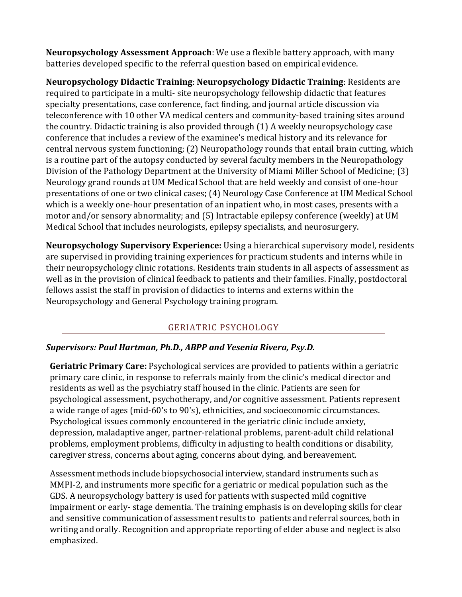**Neuropsychology Assessment Approach**: We use a flexible battery approach, with many batteries developed specific to the referral question based on empirical evidence.

**Neuropsychology Didactic Training**: **Neuropsychology Didactic Training**: Residents are required to participate in a multi- site neuropsychology fellowship didactic that features specialty presentations, case conference, fact finding, and journal article discussion via teleconference with 10 other VA medical centers and community-based training sites around the country. Didactic training is also provided through (1) A weekly neuropsychology case conference that includes a review of the examinee's medical history and its relevance for central nervous system functioning; (2) Neuropathology rounds that entail brain cutting, which is a routine part of the autopsy conducted by several faculty members in the Neuropathology Division of the Pathology Department at the University of Miami Miller School of Medicine; (3) Neurology grand rounds at UM Medical School that are held weekly and consist of one-hour presentations of one or two clinical cases; (4) Neurology Case Conference at UM Medical School which is a weekly one-hour presentation of an inpatient who, in most cases, presents with a motor and/or sensory abnormality; and (5) Intractable epilepsy conference (weekly) at UM Medical School that includes neurologists, epilepsy specialists, and neurosurgery.

**Neuropsychology Supervisory Experience:** Using a hierarchical supervisory model, residents are supervised in providing training experiences for practicum students and interns while in their neuropsychology clinic rotations. Residents train students in all aspects of assessment as well as in the provision of clinical feedback to patients and their families. Finally, postdoctoral fellows assist the staff in provision of didactics to interns and externs within the Neuropsychology and General Psychology training program.

# GERIATRIC PSYCHOLOGY

## *Supervisors: Paul Hartman, Ph.D., ABPP and Yesenia Rivera, Psy.D.*

**Geriatric Primary Care:** Psychological services are provided to patients within a geriatric primary care clinic, in response to referrals mainly from the clinic's medical director and residents as well as the psychiatry staff housed in the clinic. Patients are seen for psychological assessment, psychotherapy, and/or cognitive assessment. Patients represent a wide range of ages (mid-60's to 90's), ethnicities, and socioeconomic circumstances. Psychological issues commonly encountered in the geriatric clinic include anxiety, depression, maladaptive anger, partner-relational problems, parent-adult child relational problems, employment problems, difficulty in adjusting to health conditions or disability, caregiver stress, concerns about aging, concerns about dying, and bereavement.

Assessment methods include biopsychosocial interview, standard instruments such as MMPI-2, and instruments more specific for a geriatric or medical population such as the GDS. A neuropsychology battery is used for patients with suspected mild cognitive impairment or early- stage dementia. The training emphasis is on developing skills for clear and sensitive communication of assessment results to patients and referral sources, both in writing and orally. Recognition and appropriate reporting of elder abuse and neglect is also emphasized.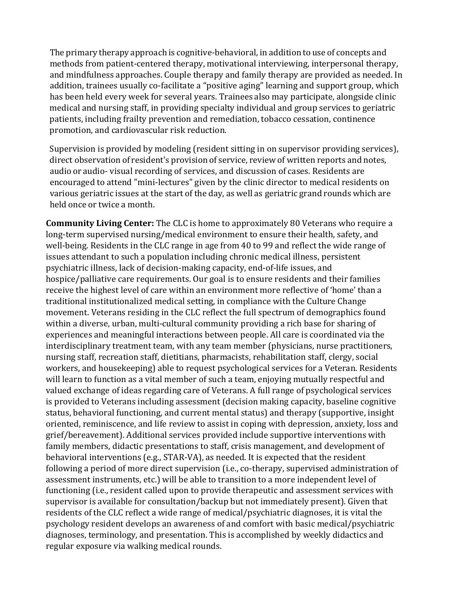The primary therapy approach is cognitive-behavioral, in addition to use of concepts and methods from patient-centered therapy, motivational interviewing, interpersonal therapy, and mindfulness approaches. Couple therapy and family therapy are provided as needed. In addition, trainees usually co-facilitate a "positive aging" learning and support group, which has been held every week for several years. Trainees also may participate, alongside clinic medical and nursing staff, in providing specialty individual and group services to geriatric patients, including frailty prevention and remediation, tobacco cessation, continence promotion, and cardiovascular risk reduction.

Supervision is provided by modeling (resident sitting in on supervisor providing services), direct observation of resident's provision of service, review of written reports and notes, audio or audio- visual recording of services, and discussion of cases. Residents are encouraged to attend "mini-lectures" given by the clinic director to medical residents on various geriatric issues at the start of the day, as well as geriatric grand rounds which are held once or twice a month.

**Community Living Center:** The CLC is home to approximately 80 Veterans who require a long-term supervised nursing/medical environment to ensure their health, safety, and well-being. Residents in the CLC range in age from 40 to 99 and reflect the wide range of issues attendant to such a population including chronic medical illness, persistent psychiatric illness, lack of decision-making capacity, end-of-life issues, and hospice/palliative care requirements. Our goal is to ensure residents and their families receive the highest level of care within an environment more reflective of 'home' than a traditional institutionalized medical setting, in compliance with the Culture Change movement. Veterans residing in the CLC reflect the full spectrum of demographics found within a diverse, urban, multi-cultural community providing a rich base for sharing of experiences and meaningful interactions between people. All care is coordinated via the interdisciplinary treatment team, with any team member (physicians, nurse practitioners, nursing staff, recreation staff, dietitians, pharmacists, rehabilitation staff, clergy, social workers, and housekeeping) able to request psychological services for a Veteran. Residents will learn to function as a vital member of such a team, enjoying mutually respectful and valued exchange of ideas regarding care of Veterans. A full range of psychological services is provided to Veterans including assessment (decision making capacity, baseline cognitive status, behavioral functioning, and current mental status) and therapy (supportive, insight oriented, reminiscence, and life review to assist in coping with depression, anxiety, loss and grief/bereavement). Additional services provided include supportive interventions with family members, didactic presentations to staff, crisis management, and development of behavioral interventions (e.g., STAR-VA), as needed. It is expected that the resident following a period of more direct supervision (i.e., co-therapy, supervised administration of assessment instruments, etc.) will be able to transition to a more independent level of functioning (i.e., resident called upon to provide therapeutic and assessment services with supervisor is available for consultation/backup but not immediately present). Given that residents of the CLC reflect a wide range of medical/psychiatric diagnoses, it is vital the psychology resident develops an awareness of and comfort with basic medical/psychiatric diagnoses, terminology, and presentation. This is accomplished by weekly didactics and regular exposure via walking medical rounds.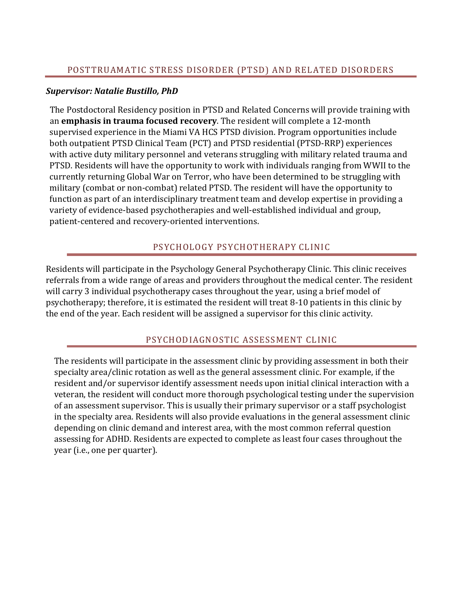## *Supervisor: Natalie Bustillo, PhD*

The Postdoctoral Residency position in PTSD and Related Concerns will provide training with an **emphasis in trauma focused recovery**. The resident will complete a 12-month supervised experience in the Miami VA HCS PTSD division. Program opportunities include both outpatient PTSD Clinical Team (PCT) and PTSD residential (PTSD-RRP) experiences with active duty military personnel and veterans struggling with military related trauma and PTSD. Residents will have the opportunity to work with individuals ranging from WWII to the currently returning Global War on Terror, who have been determined to be struggling with military (combat or non-combat) related PTSD. The resident will have the opportunity to function as part of an interdisciplinary treatment team and develop expertise in providing a variety of evidence-based psychotherapies and well-established individual and group, patient-centered and recovery-oriented interventions.

# PSYCHOLOGY PSYCHOTHERAPY CLINIC

Residents will participate in the Psychology General Psychotherapy Clinic. This clinic receives referrals from a wide range of areas and providers throughout the medical center. The resident will carry 3 individual psychotherapy cases throughout the year, using a brief model of psychotherapy; therefore, it is estimated the resident will treat 8-10 patients in this clinic by the end of the year. Each resident will be assigned a supervisor for this clinic activity.

# PSYCHODIAGNOSTIC ASSESSMENT CLINIC

The residents will participate in the assessment clinic by providing assessment in both their specialty area/clinic rotation as well as the general assessment clinic. For example, if the resident and/or supervisor identify assessment needs upon initial clinical interaction with a veteran, the resident will conduct more thorough psychological testing under the supervision of an assessment supervisor. This is usually their primary supervisor or a staff psychologist in the specialty area. Residents will also provide evaluations in the general assessment clinic depending on clinic demand and interest area, with the most common referral question assessing for ADHD. Residents are expected to complete as least four cases throughout the year (i.e., one per quarter).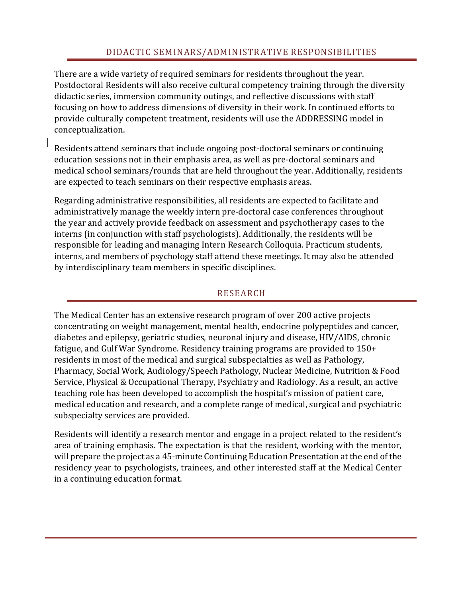There are a wide variety of required seminars for residents throughout the year. Postdoctoral Residents will also receive cultural competency training through the diversity didactic series, immersion community outings, and reflective discussions with staff focusing on how to address dimensions of diversity in their work. In continued efforts to provide culturally competent treatment, residents will use the ADDRESSING model in conceptualization.

Residents attend seminars that include ongoing post-doctoral seminars or continuing education sessions not in their emphasis area, as well as pre-doctoral seminars and medical school seminars/rounds that are held throughout the year. Additionally, residents are expected to teach seminars on their respective emphasis areas.

Regarding administrative responsibilities, all residents are expected to facilitate and administratively manage the weekly intern pre-doctoral case conferences throughout the year and actively provide feedback on assessment and psychotherapy cases to the interns (in conjunction with staff psychologists). Additionally, the residents will be responsible for leading and managing Intern Research Colloquia. Practicum students, interns, and members of psychology staff attend these meetings. It may also be attended by interdisciplinary team members in specific disciplines.

## RESEARCH

The Medical Center has an extensive research program of over 200 active projects concentrating on weight management, mental health, endocrine polypeptides and cancer, diabetes and epilepsy, geriatric studies, neuronal injury and disease, HIV/AIDS, chronic fatigue, and Gulf War Syndrome. Residency training programs are provided to 150+ residents in most of the medical and surgical subspecialties as well as Pathology, Pharmacy, Social Work, Audiology/Speech Pathology, Nuclear Medicine, Nutrition & Food Service, Physical & Occupational Therapy, Psychiatry and Radiology. As a result, an active teaching role has been developed to accomplish the hospital's mission of patient care, medical education and research, and a complete range of medical, surgical and psychiatric subspecialty services are provided.

Residents will identify a research mentor and engage in a project related to the resident's area of training emphasis. The expectation is that the resident, working with the mentor, will prepare the project as a 45-minute Continuing Education Presentation at the end of the residency year to psychologists, trainees, and other interested staff at the Medical Center in a continuing education format.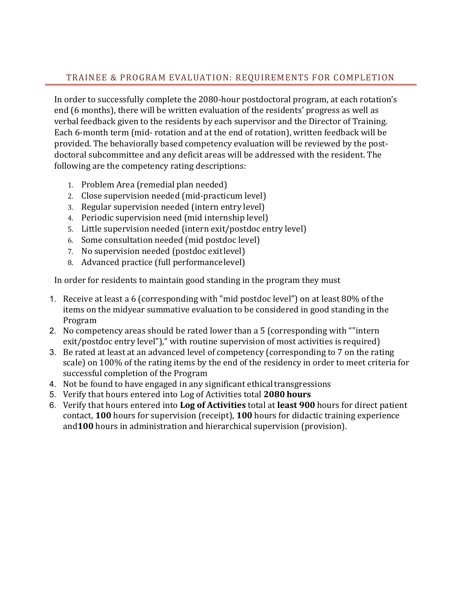# TRAINEE & PROGRAM EVALUATION: REQUIREMENTS FOR COMPLETION

In order to successfully complete the 2080-hour postdoctoral program, at each rotation's end (6 months), there will be written evaluation of the residents' progress as well as verbal feedback given to the residents by each supervisor and the Director of Training. Each 6-month term (mid- rotation and at the end of rotation), written feedback will be provided. The behaviorally based competency evaluation will be reviewed by the postdoctoral subcommittee and any deficit areas will be addressed with the resident. The following are the competency rating descriptions:

- 1. Problem Area (remedial plan needed)
- 2. Close supervision needed (mid-practicum level)
- 3. Regular supervision needed (intern entry level)
- 4. Periodic supervision need (mid internship level)
- 5. Little supervision needed (intern exit/postdoc entry level)
- 6. Some consultation needed (mid postdoc level)
- 7. No supervision needed (postdoc exitlevel)
- 8. Advanced practice (full performancelevel)

In order for residents to maintain good standing in the program they must

- 1. Receive at least a 6 (corresponding with "mid postdoc level") on at least 80% of the items on the midyear summative evaluation to be considered in good standing in the Program
- 2. No competency areas should be rated lower than a 5 (corresponding with ""intern exit/postdoc entry level")," with routine supervision of most activities is required)
- 3. Be rated at least at an advanced level of competency (corresponding to 7 on the rating scale) on 100% of the rating items by the end of the residency in order to meet criteria for successful completion of the Program
- 4. Not be found to have engaged in any significant ethical transgressions
- 5. Verify that hours entered into Log of Activities total **2080 hours**
- 6. Verify that hours entered into **Log of Activities** total at **least 900** hours for direct patient contact, **100** hours for supervision (receipt), **100** hours for didactic training experience and**100** hours in administration and hierarchical supervision (provision).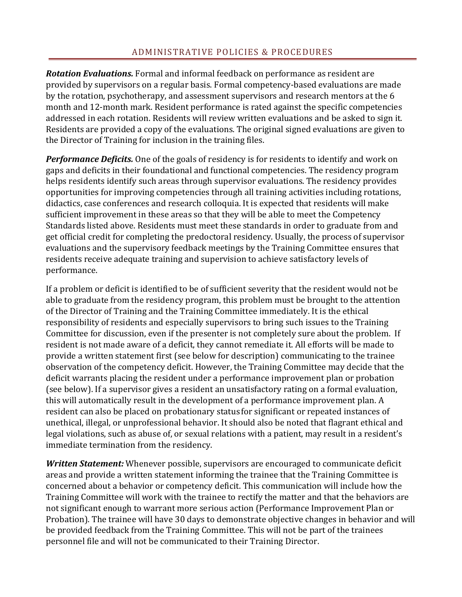*Rotation Evaluations.* Formal and informal feedback on performance as resident are provided by supervisors on a regular basis. Formal competency-based evaluations are made by the rotation, psychotherapy, and assessment supervisors and research mentors at the 6 month and 12-month mark. Resident performance is rated against the specific competencies addressed in each rotation. Residents will review written evaluations and be asked to sign it. Residents are provided a copy of the evaluations. The original signed evaluations are given to the Director of Training for inclusion in the training files.

*Performance Deficits.* One of the goals of residency is for residents to identify and work on gaps and deficits in their foundational and functional competencies. The residency program helps residents identify such areas through supervisor evaluations. The residency provides opportunities for improving competencies through all training activities including rotations, didactics, case conferences and research colloquia. It is expected that residents will make sufficient improvement in these areas so that they will be able to meet the Competency Standards listed above. Residents must meet these standards in order to graduate from and get official credit for completing the predoctoral residency. Usually, the process of supervisor evaluations and the supervisory feedback meetings by the Training Committee ensures that residents receive adequate training and supervision to achieve satisfactory levels of performance.

If a problem or deficit is identified to be of sufficient severity that the resident would not be able to graduate from the residency program, this problem must be brought to the attention of the Director of Training and the Training Committee immediately. It is the ethical responsibility of residents and especially supervisors to bring such issues to the Training Committee for discussion, even if the presenter is not completely sure about the problem. If resident is not made aware of a deficit, they cannot remediate it. All efforts will be made to provide a written statement first (see below for description) communicating to the trainee observation of the competency deficit. However, the Training Committee may decide that the deficit warrants placing the resident under a performance improvement plan or probation (see below). If a supervisor gives a resident an unsatisfactory rating on a formal evaluation, this will automatically result in the development of a performance improvement plan. A resident can also be placed on probationary status for significant or repeated instances of unethical, illegal, or unprofessional behavior. It should also be noted that flagrant ethical and legal violations, such as abuse of, or sexual relations with a patient, may result in a resident's immediate termination from the residency.

*Written Statement:* Whenever possible, supervisors are encouraged to communicate deficit areas and provide a written statement informing the trainee that the Training Committee is concerned about a behavior or competency deficit. This communication will include how the Training Committee will work with the trainee to rectify the matter and that the behaviors are not significant enough to warrant more serious action (Performance Improvement Plan or Probation). The trainee will have 30 days to demonstrate objective changes in behavior and will be provided feedback from the Training Committee. This will not be part of the trainees personnel file and will not be communicated to their Training Director.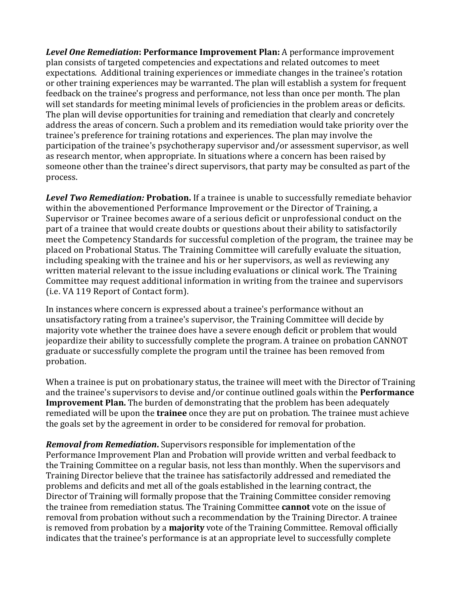*Level One Remediation***: Performance Improvement Plan:** A performance improvement plan consists of targeted competencies and expectations and related outcomes to meet expectations. Additional training experiences or immediate changes in the trainee's rotation or other training experiences may be warranted. The plan will establish a system for frequent feedback on the trainee's progress and performance, not less than once per month. The plan will set standards for meeting minimal levels of proficiencies in the problem areas or deficits. The plan will devise opportunities for training and remediation that clearly and concretely address the areas of concern. Such a problem and its remediation would take priority over the trainee's preference for training rotations and experiences. The plan may involve the participation of the trainee's psychotherapy supervisor and/or assessment supervisor, as well as research mentor, when appropriate. In situations where a concern has been raised by someone other than the trainee's direct supervisors, that party may be consulted as part of the process.

*Level Two Remediation:* **Probation.** If a trainee is unable to successfully remediate behavior within the abovementioned Performance Improvement or the Director of Training, a Supervisor or Trainee becomes aware of a serious deficit or unprofessional conduct on the part of a trainee that would create doubts or questions about their ability to satisfactorily meet the Competency Standards for successful completion of the program, the trainee may be placed on Probational Status. The Training Committee will carefully evaluate the situation, including speaking with the trainee and his or her supervisors, as well as reviewing any written material relevant to the issue including evaluations or clinical work. The Training Committee may request additional information in writing from the trainee and supervisors (i.e. VA 119 Report of Contact form).

In instances where concern is expressed about a trainee's performance without an unsatisfactory rating from a trainee's supervisor, the Training Committee will decide by majority vote whether the trainee does have a severe enough deficit or problem that would jeopardize their ability to successfully complete the program. A trainee on probation CANNOT graduate or successfully complete the program until the trainee has been removed from probation.

When a trainee is put on probationary status, the trainee will meet with the Director of Training and the trainee's supervisors to devise and/or continue outlined goals within the **Performance Improvement Plan.** The burden of demonstrating that the problem has been adequately remediated will be upon the **trainee** once they are put on probation. The trainee must achieve the goals set by the agreement in order to be considered for removal for probation.

*Removal from Remediation***.** Supervisors responsible for implementation of the Performance Improvement Plan and Probation will provide written and verbal feedback to the Training Committee on a regular basis, not less than monthly. When the supervisors and Training Director believe that the trainee has satisfactorily addressed and remediated the problems and deficits and met all of the goals established in the learning contract, the Director of Training will formally propose that the Training Committee consider removing the trainee from remediation status. The Training Committee **cannot** vote on the issue of removal from probation without such a recommendation by the Training Director. A trainee is removed from probation by a **majority** vote of the Training Committee. Removal officially indicates that the trainee's performance is at an appropriate level to successfully complete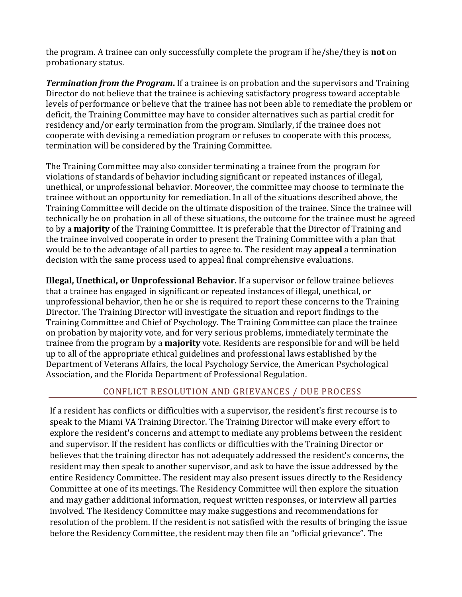the program. A trainee can only successfully complete the program if he/she/they is **not** on probationary status.

*Termination from the Program***.** If a trainee is on probation and the supervisors and Training Director do not believe that the trainee is achieving satisfactory progress toward acceptable levels of performance or believe that the trainee has not been able to remediate the problem or deficit, the Training Committee may have to consider alternatives such as partial credit for residency and/or early termination from the program. Similarly, if the trainee does not cooperate with devising a remediation program or refuses to cooperate with this process, termination will be considered by the Training Committee.

The Training Committee may also consider terminating a trainee from the program for violations of standards of behavior including significant or repeated instances of illegal, unethical, or unprofessional behavior. Moreover, the committee may choose to terminate the trainee without an opportunity for remediation. In all of the situations described above, the Training Committee will decide on the ultimate disposition of the trainee. Since the trainee will technically be on probation in all of these situations, the outcome for the trainee must be agreed to by a **majority** of the Training Committee. It is preferable that the Director of Training and the trainee involved cooperate in order to present the Training Committee with a plan that would be to the advantage of all parties to agree to. The resident may **appeal** a termination decision with the same process used to appeal final comprehensive evaluations.

**Illegal, Unethical, or Unprofessional Behavior.** If a supervisor or fellow trainee believes that a trainee has engaged in significant or repeated instances of illegal, unethical, or unprofessional behavior, then he or she is required to report these concerns to the Training Director. The Training Director will investigate the situation and report findings to the Training Committee and Chief of Psychology. The Training Committee can place the trainee on probation by majority vote, and for very serious problems, immediately terminate the trainee from the program by a **majority** vote. Residents are responsible for and will be held up to all of the appropriate ethical guidelines and professional laws established by the Department of Veterans Affairs, the local Psychology Service, the American Psychological Association, and the Florida Department of Professional Regulation.

## CONFLICT RESOLUTION AND GRIEVANCES / DUE PROCESS

If a resident has conflicts or difficulties with a supervisor, the resident's first recourse is to speak to the Miami VA Training Director. The Training Director will make every effort to explore the resident's concerns and attempt to mediate any problems between the resident and supervisor. If the resident has conflicts or difficulties with the Training Director or believes that the training director has not adequately addressed the resident's concerns, the resident may then speak to another supervisor, and ask to have the issue addressed by the entire Residency Committee. The resident may also present issues directly to the Residency Committee at one of its meetings. The Residency Committee will then explore the situation and may gather additional information, request written responses, or interview all parties involved. The Residency Committee may make suggestions and recommendations for resolution of the problem. If the resident is not satisfied with the results of bringing the issue before the Residency Committee, the resident may then file an "official grievance". The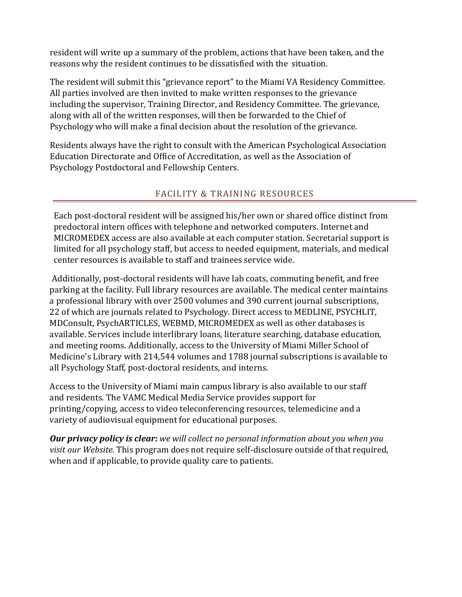resident will write up a summary of the problem, actions that have been taken, and the reasons why the resident continues to be dissatisfied with the situation.

The resident will submit this "grievance report" to the Miami VA Residency Committee. All parties involved are then invited to make written responses to the grievance including the supervisor, Training Director, and Residency Committee. The grievance, along with all of the written responses, will then be forwarded to the Chief of Psychology who will make a final decision about the resolution of the grievance.

Residents always have the right to consult with the American Psychological Association Education Directorate and Office of Accreditation, as well as the Association of Psychology Postdoctoral and Fellowship Centers.

# FACILITY & TRAINING RESOURCES

Each post-doctoral resident will be assigned his/her own or shared office distinct from predoctoral intern offices with telephone and networked computers. Internet and MICROMEDEX access are also available at each computer station. Secretarial support is limited for all psychology staff, but access to needed equipment, materials, and medical center resources is available to staff and trainees service wide.

Additionally, post-doctoral residents will have lab coats, commuting benefit, and free parking at the facility. Full library resources are available. The medical center maintains a professional library with over 2500 volumes and 390 current journal subscriptions, 22 of which are journals related to Psychology. Direct access to MEDLINE, PSYCHLIT, MDConsult, PsychARTICLES, WEBMD, MICROMEDEX as well as other databases is available. Services include interlibrary loans, literature searching, database education, and meeting rooms. Additionally, access to the University of Miami Miller School of Medicine's Library with 214,544 volumes and 1788 journal subscriptions is available to all Psychology Staff, post-doctoral residents, and interns.

Access to the University of Miami main campus library is also available to our staff and residents. The VAMC Medical Media Service provides support for printing/copying, access to video teleconferencing resources, telemedicine and a variety of audiovisual equipment for educational purposes.

*Our privacy policy is clear: we will collect no personal information about you when you visit our Website.* This program does not require self-disclosure outside of that required, when and if applicable, to provide quality care to patients.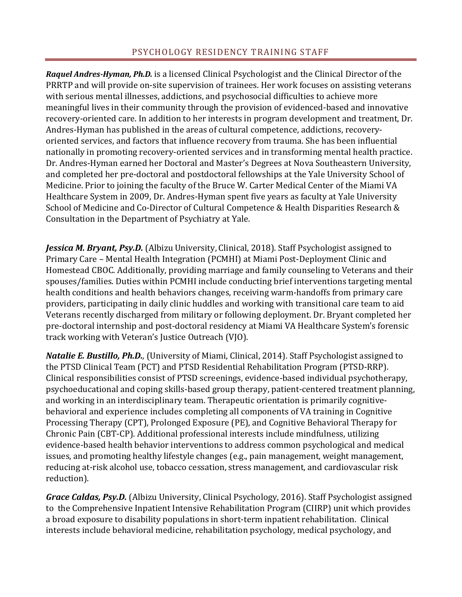*Raquel Andres-Hyman, Ph.D.* is a licensed Clinical Psychologist and the Clinical Director of the PRRTP and will provide on-site supervision of trainees. Her work focuses on assisting veterans with serious mental illnesses, addictions, and psychosocial difficulties to achieve more meaningful lives in their community through the provision of evidenced-based and innovative recovery-oriented care. In addition to her interests in program development and treatment, Dr. Andres-Hyman has published in the areas of cultural competence, addictions, recoveryoriented services, and factors that influence recovery from trauma. She has been influential nationally in promoting recovery-oriented services and in transforming mental health practice. Dr. Andres-Hyman earned her Doctoral and Master's Degrees at Nova Southeastern University, and completed her pre-doctoral and postdoctoral fellowships at the Yale University School of Medicine. Prior to joining the faculty of the Bruce W. Carter Medical Center of the Miami VA Healthcare System in 2009, Dr. Andres-Hyman spent five years as faculty at Yale University School of Medicine and Co-Director of Cultural Competence & Health Disparities Research & Consultation in the Department of Psychiatry at Yale.

**Jessica M. Bryant, Psy.D.** (Albizu University, Clinical, 2018). Staff Psychologist assigned to Primary Care – Mental Health Integration (PCMHI) at Miami Post-Deployment Clinic and Homestead CBOC. Additionally, providing marriage and family counseling to Veterans and their spouses/families. Duties within PCMHI include conducting brief interventions targeting mental health conditions and health behaviors changes, receiving warm-handoffs from primary care providers, participating in daily clinic huddles and working with transitional care team to aid Veterans recently discharged from military or following deployment. Dr. Bryant completed her pre-doctoral internship and post-doctoral residency at Miami VA Healthcare System's forensic track working with Veteran's Justice Outreach (VJO).

*Natalie E. Bustillo, Ph.D.,* (University of Miami, Clinical, 2014). Staff Psychologist assigned to the PTSD Clinical Team (PCT) and PTSD Residential Rehabilitation Program (PTSD-RRP). Clinical responsibilities consist of PTSD screenings, evidence-based individual psychotherapy, psychoeducational and coping skills-based group therapy, patient-centered treatment planning, and working in an interdisciplinary team. Therapeutic orientation is primarily cognitivebehavioral and experience includes completing all components of VA training in Cognitive Processing Therapy (CPT), Prolonged Exposure (PE), and Cognitive Behavioral Therapy for Chronic Pain (CBT-CP). Additional professional interests include mindfulness, utilizing evidence-based health behavior interventions to address common psychological and medical issues, and promoting healthy lifestyle changes (e.g., pain management, weight management, reducing at-risk alcohol use, tobacco cessation, stress management, and cardiovascular risk reduction).

*Grace Caldas, Psy.D.* (Albizu University, Clinical Psychology, 2016). Staff Psychologist assigned to the Comprehensive Inpatient Intensive Rehabilitation Program (CIIRP) unit which provides a broad exposure to disability populations in short-term inpatient rehabilitation. Clinical interests include behavioral medicine, rehabilitation psychology, medical psychology, and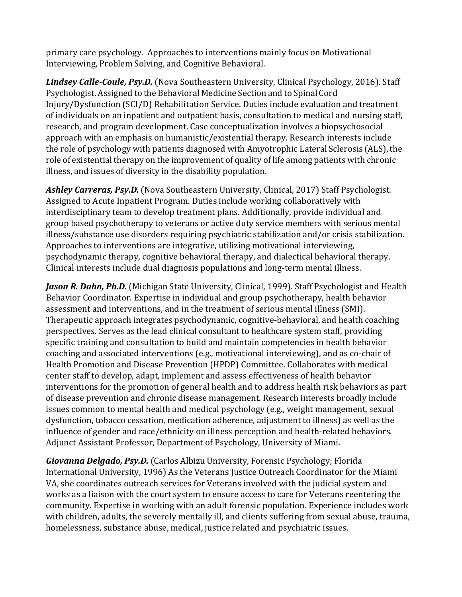primary care psychology. Approaches to interventions mainly focus on Motivational Interviewing, Problem Solving, and Cognitive Behavioral.

*Lindsey Calle-Coule, Psy.D.* (Nova Southeastern University, Clinical Psychology, 2016). Staff Psychologist. Assigned to the Behavioral Medicine Section and to Spinal Cord Injury/Dysfunction (SCI/D) Rehabilitation Service. Duties include evaluation and treatment of individuals on an inpatient and outpatient basis, consultation to medical and nursing staff, research, and program development. Case conceptualization involves a biopsychosocial approach with an emphasis on humanistic/existential therapy. Research interests include the role of psychology with patients diagnosed with Amyotrophic Lateral Sclerosis (ALS), the role of existential therapy on the improvement of quality of life among patients with chronic illness, and issues of diversity in the disability population.

*Ashley Carreras, Psy.D.* (Nova Southeastern University, Clinical, 2017) Staff Psychologist. Assigned to Acute Inpatient Program. Duties include working collaboratively with interdisciplinary team to develop treatment plans. Additionally, provide individual and group based psychotherapy to veterans or active duty service members with serious mental illness/substance use disorders requiring psychiatric stabilization and/or crisis stabilization. Approaches to interventions are integrative, utilizing motivational interviewing, psychodynamic therapy, cognitive behavioral therapy, and dialectical behavioral therapy. Clinical interests include dual diagnosis populations and long-term mental illness.

*Jason R. Dahn, Ph.D.* (Michigan State University, Clinical, 1999). Staff Psychologist and Health Behavior Coordinator. Expertise in individual and group psychotherapy, health behavior assessment and interventions, and in the treatment of serious mental illness (SMI). Therapeutic approach integrates psychodynamic, cognitive-behavioral, and health coaching perspectives. Serves as the lead clinical consultant to healthcare system staff, providing specific training and consultation to build and maintain competencies in health behavior coaching and associated interventions (e.g., motivational interviewing), and as co-chair of Health Promotion and Disease Prevention (HPDP) Committee. Collaborates with medical center staff to develop, adapt, implement and assess effectiveness of health behavior interventions for the promotion of general health and to address health risk behaviors as part of disease prevention and chronic disease management. Research interests broadly include issues common to mental health and medical psychology (e.g., weight management, sexual dysfunction, tobacco cessation, medication adherence, adjustment to illness) as well as the influence of gender and race/ethnicity on illness perception and health-related behaviors. Adjunct Assistant Professor, Department of Psychology, University of Miami.

*Giovanna Delgado, Psy.D.* (Carlos Albizu University, Forensic Psychology; Florida International University, 1996) As the Veterans Justice Outreach Coordinator for the Miami VA, she coordinates outreach services for Veterans involved with the judicial system and works as a liaison with the court system to ensure access to care for Veterans reentering the community. Expertise in working with an adult forensic population. Experience includes work with children, adults, the severely mentally ill, and clients suffering from sexual abuse, trauma, homelessness, substance abuse, medical, justice related and psychiatric issues.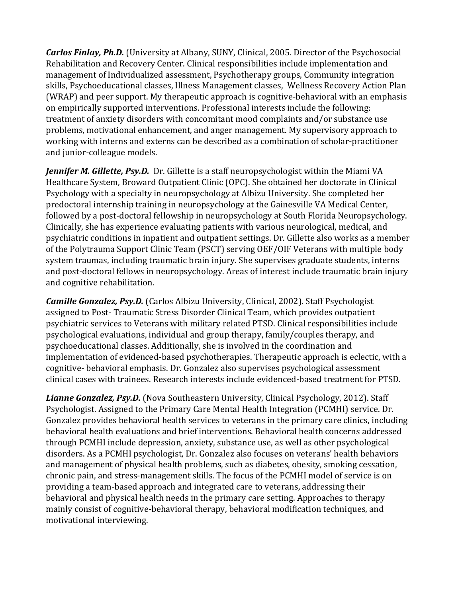*Carlos Finlay, Ph.D.* (University at Albany, SUNY, Clinical, 2005. Director of the Psychosocial Rehabilitation and Recovery Center. Clinical responsibilities include implementation and management of Individualized assessment, Psychotherapy groups, Community integration skills, Psychoeducational classes, Illness Management classes, Wellness Recovery Action Plan (WRAP) and peer support. My therapeutic approach is cognitive-behavioral with an emphasis on empirically supported interventions. Professional interests include the following: treatment of anxiety disorders with concomitant mood complaints and/or substance use problems, motivational enhancement, and anger management. My supervisory approach to working with interns and externs can be described as a combination of scholar-practitioner and junior-colleague models.

*Jennifer M. Gillette, Psy.D.* Dr. Gillette is a staff neuropsychologist within the Miami VA Healthcare System, Broward Outpatient Clinic (OPC). She obtained her doctorate in Clinical Psychology with a specialty in neuropsychology at Albizu University. She completed her predoctoral internship training in neuropsychology at the Gainesville VA Medical Center, followed by a post-doctoral fellowship in neuropsychology at South Florida Neuropsychology. Clinically, she has experience evaluating patients with various neurological, medical, and psychiatric conditions in inpatient and outpatient settings. Dr. Gillette also works as a member of the Polytrauma Support Clinic Team (PSCT) serving OEF/OIF Veterans with multiple body system traumas, including traumatic brain injury. She supervises graduate students, interns and post-doctoral fellows in neuropsychology. Areas of interest include traumatic brain injury and cognitive rehabilitation.

*Camille Gonzalez, Psy.D.* (Carlos Albizu University, Clinical, 2002). Staff Psychologist assigned to Post- Traumatic Stress Disorder Clinical Team, which provides outpatient psychiatric services to Veterans with military related PTSD. Clinical responsibilities include psychological evaluations, individual and group therapy, family/couples therapy, and psychoeducational classes. Additionally, she is involved in the coordination and implementation of evidenced-based psychotherapies. Therapeutic approach is eclectic, with a cognitive- behavioral emphasis. Dr. Gonzalez also supervises psychological assessment clinical cases with trainees. Research interests include evidenced-based treatment for PTSD.

*Lianne Gonzalez, Psy.D.* (Nova Southeastern University, Clinical Psychology, 2012). Staff Psychologist. Assigned to the Primary Care Mental Health Integration (PCMHI) service. Dr. Gonzalez provides behavioral health services to veterans in the primary care clinics, including behavioral health evaluations and brief interventions. Behavioral health concerns addressed through PCMHI include depression, anxiety, substance use, as well as other psychological disorders. As a PCMHI psychologist, Dr. Gonzalez also focuses on veterans' health behaviors and management of physical health problems, such as diabetes, obesity, smoking cessation, chronic pain, and stress-management skills. The focus of the PCMHI model of service is on providing a team-based approach and integrated care to veterans, addressing their behavioral and physical health needs in the primary care setting. Approaches to therapy mainly consist of cognitive-behavioral therapy, behavioral modification techniques, and motivational interviewing.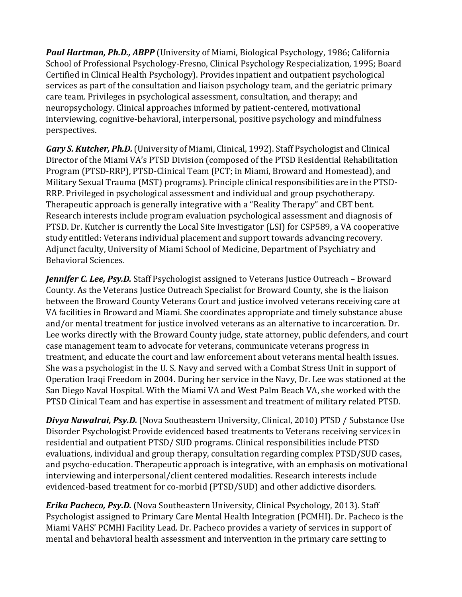*Paul Hartman, Ph.D., ABPP* (University of Miami, Biological Psychology, 1986; California School of Professional Psychology-Fresno, Clinical Psychology Respecialization, 1995; Board Certified in Clinical Health Psychology). Provides inpatient and outpatient psychological services as part of the consultation and liaison psychology team, and the geriatric primary care team. Privileges in psychological assessment, consultation, and therapy; and neuropsychology. Clinical approaches informed by patient-centered, motivational interviewing, cognitive-behavioral, interpersonal, positive psychology and mindfulness perspectives.

*Gary S. Kutcher, Ph.D.*(University of Miami, Clinical, 1992). Staff Psychologist and Clinical Director of the Miami VA's PTSD Division (composed of the PTSD Residential Rehabilitation Program (PTSD-RRP), PTSD-Clinical Team (PCT; in Miami, Broward and Homestead), and Military Sexual Trauma (MST) programs). Principle clinical responsibilities are in the PTSD-RRP. Privileged in psychological assessment and individual and group psychotherapy. Therapeutic approach is generally integrative with a "Reality Therapy" and CBT bent. Research interests include program evaluation psychological assessment and diagnosis of PTSD. Dr. Kutcher is currently the Local Site Investigator (LSI) for CSP589, a VA cooperative study entitled: Veterans individual placement and support towards advancing recovery. Adjunct faculty, University of Miami School of Medicine, Department of Psychiatry and Behavioral Sciences.

*Jennifer C. Lee, Psy.D.* Staff Psychologist assigned to Veterans Justice Outreach – Broward County. As the Veterans Justice Outreach Specialist for Broward County, she is the liaison between the Broward County Veterans Court and justice involved veterans receiving care at VA facilities in Broward and Miami. She coordinates appropriate and timely substance abuse and/or mental treatment for justice involved veterans as an alternative to incarceration. Dr. Lee works directly with the Broward County judge, state attorney, public defenders, and court case management team to advocate for veterans, communicate veterans progress in treatment, and educate the court and law enforcement about veterans mental health issues. She was a psychologist in the U. S. Navy and served with a Combat Stress Unit in support of Operation Iraqi Freedom in 2004. During her service in the Navy, Dr. Lee was stationed at the San Diego Naval Hospital. With the Miami VA and West Palm Beach VA, she worked with the PTSD Clinical Team and has expertise in assessment and treatment of military related PTSD.

*Divya Nawalrai, Psy.D.* (Nova Southeastern University, Clinical, 2010) PTSD / Substance Use Disorder Psychologist Provide evidenced based treatments to Veterans receiving services in residential and outpatient PTSD/ SUD programs. Clinical responsibilities include PTSD evaluations, individual and group therapy, consultation regarding complex PTSD/SUD cases, and psycho-education. Therapeutic approach is integrative, with an emphasis on motivational interviewing and interpersonal/client centered modalities. Research interests include evidenced-based treatment for co-morbid (PTSD/SUD) and other addictive disorders.

*Erika Pacheco, Psy.D.* (Nova Southeastern University, Clinical Psychology, 2013). Staff Psychologist assigned to Primary Care Mental Health Integration (PCMHI). Dr. Pacheco is the Miami VAHS' PCMHI Facility Lead. Dr. Pacheco provides a variety of services in support of mental and behavioral health assessment and intervention in the primary care setting to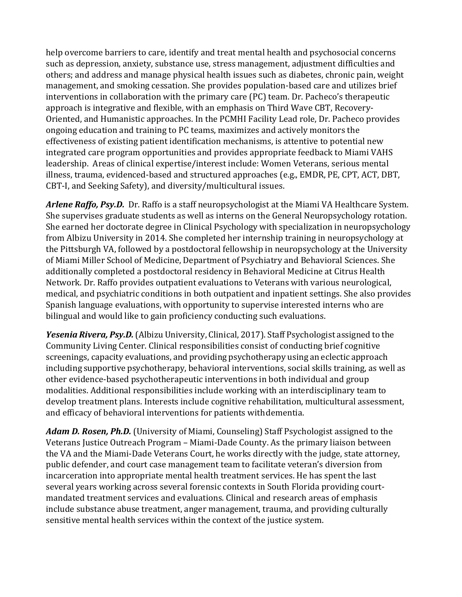help overcome barriers to care, identify and treat mental health and psychosocial concerns such as depression, anxiety, substance use, stress management, adjustment difficulties and others; and address and manage physical health issues such as diabetes, chronic pain, weight management, and smoking cessation. She provides population-based care and utilizes brief interventions in collaboration with the primary care (PC) team. Dr. Pacheco's therapeutic approach is integrative and flexible, with an emphasis on Third Wave CBT, Recovery-Oriented, and Humanistic approaches. In the PCMHI Facility Lead role, Dr. Pacheco provides ongoing education and training to PC teams, maximizes and actively monitors the effectiveness of existing patient identification mechanisms, is attentive to potential new integrated care program opportunities and provides appropriate feedback to Miami VAHS leadership. Areas of clinical expertise/interest include: Women Veterans, serious mental illness, trauma, evidenced-based and structured approaches (e.g., EMDR, PE, CPT, ACT, DBT, CBT-I, and Seeking Safety), and diversity/multicultural issues.

*Arlene Raffo, Psy.D.* Dr. Raffo is a staff neuropsychologist at the Miami VA Healthcare System. She supervises graduate students as well as interns on the General Neuropsychology rotation. She earned her doctorate degree in Clinical Psychology with specialization in neuropsychology from Albizu University in 2014. She completed her internship training in neuropsychology at the Pittsburgh VA, followed by a postdoctoral fellowship in neuropsychology at the University of Miami Miller School of Medicine, Department of Psychiatry and Behavioral Sciences. She additionally completed a postdoctoral residency in Behavioral Medicine at Citrus Health Network. Dr. Raffo provides outpatient evaluations to Veterans with various neurological, medical, and psychiatric conditions in both outpatient and inpatient settings. She also provides Spanish language evaluations, with opportunity to supervise interested interns who are bilingual and would like to gain proficiency conducting such evaluations.

*Yesenia Rivera, Psy.D.*(Albizu University, Clinical, 2017). Staff Psychologist assigned to the Community Living Center. Clinical responsibilities consist of conducting brief cognitive screenings, capacity evaluations, and providing psychotherapy using an eclectic approach including supportive psychotherapy, behavioral interventions, social skills training, as well as other evidence-based psychotherapeutic interventions in both individual and group modalities. Additional responsibilities include working with an interdisciplinary team to develop treatment plans. Interests include cognitive rehabilitation, multicultural assessment, and efficacy of behavioral interventions for patients withdementia.

*Adam D. Rosen, Ph.D.* (University of Miami, Counseling) Staff Psychologist assigned to the Veterans Justice Outreach Program – Miami-Dade County. As the primary liaison between the VA and the Miami-Dade Veterans Court, he works directly with the judge, state attorney, public defender, and court case management team to facilitate veteran's diversion from incarceration into appropriate mental health treatment services. He has spent the last several years working across several forensic contexts in South Florida providing courtmandated treatment services and evaluations. Clinical and research areas of emphasis include substance abuse treatment, anger management, trauma, and providing culturally sensitive mental health services within the context of the justice system.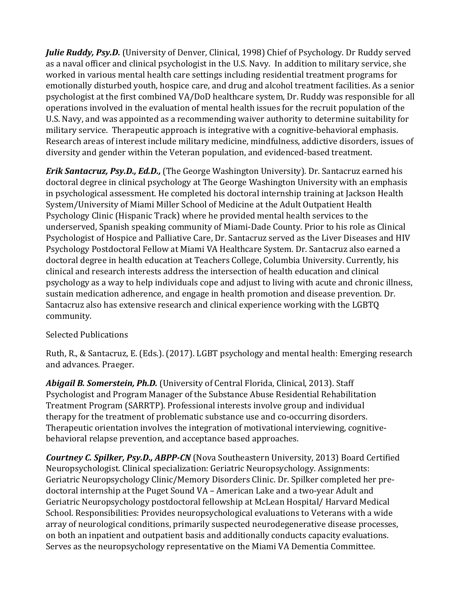*Julie Ruddy, Psy.D.* (University of Denver, Clinical, 1998) Chief of Psychology. Dr Ruddy served as a naval officer and clinical psychologist in the U.S. Navy. In addition to military service, she worked in various mental health care settings including residential treatment programs for emotionally disturbed youth, hospice care, and drug and alcohol treatment facilities. As a senior psychologist at the first combined VA/DoD healthcare system, Dr. Ruddy was responsible for all operations involved in the evaluation of mental health issues for the recruit population of the U.S. Navy, and was appointed as a recommending waiver authority to determine suitability for military service. Therapeutic approach is integrative with a cognitive-behavioral emphasis. Research areas of interest include military medicine, mindfulness, addictive disorders, issues of diversity and gender within the Veteran population, and evidenced-based treatment.

*Erik Santacruz, Psy.D., Ed.D.,* (The George Washington University). Dr. Santacruz earned his doctoral degree in clinical psychology at The George Washington University with an emphasis in psychological assessment. He completed his doctoral internship training at Jackson Health System/University of Miami Miller School of Medicine at the Adult Outpatient Health Psychology Clinic (Hispanic Track) where he provided mental health services to the underserved, Spanish speaking community of Miami-Dade County. Prior to his role as Clinical Psychologist of Hospice and Palliative Care, Dr. Santacruz served as the Liver Diseases and HIV Psychology Postdoctoral Fellow at Miami VA Healthcare System. Dr. Santacruz also earned a doctoral degree in health education at Teachers College, Columbia University. Currently, his clinical and research interests address the intersection of health education and clinical psychology as a way to help individuals cope and adjust to living with acute and chronic illness, sustain medication adherence, and engage in health promotion and disease prevention. Dr. Santacruz also has extensive research and clinical experience working with the LGBTQ community.

## Selected Publications

Ruth, R., & Santacruz, E. (Eds.). (2017). LGBT psychology and mental health: Emerging research and advances. Praeger.

*Abigail B. Somerstein, Ph.D.* (University of Central Florida, Clinical, 2013). Staff Psychologist and Program Manager of the Substance Abuse Residential Rehabilitation Treatment Program (SARRTP). Professional interests involve group and individual therapy for the treatment of problematic substance use and co-occurring disorders. Therapeutic orientation involves the integration of motivational interviewing, cognitivebehavioral relapse prevention, and acceptance based approaches.

*Courtney C. Spilker, Psy.D., ABPP-CN* (Nova Southeastern University, 2013) Board Certified Neuropsychologist. Clinical specialization: Geriatric Neuropsychology. Assignments: Geriatric Neuropsychology Clinic/Memory Disorders Clinic. Dr. Spilker completed her predoctoral internship at the Puget Sound VA – American Lake and a two-year Adult and Geriatric Neuropsychology postdoctoral fellowship at McLean Hospital/ Harvard Medical School. Responsibilities: Provides neuropsychological evaluations to Veterans with a wide array of neurological conditions, primarily suspected neurodegenerative disease processes, on both an inpatient and outpatient basis and additionally conducts capacity evaluations. Serves as the neuropsychology representative on the Miami VA Dementia Committee.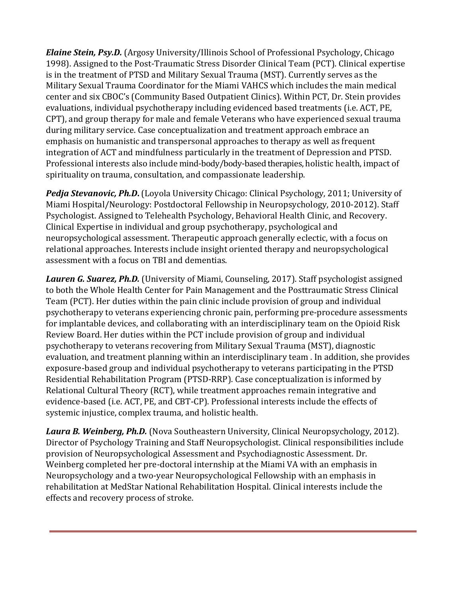*Elaine Stein, Psy.D.* (Argosy University/Illinois School of Professional Psychology, Chicago 1998). Assigned to the Post-Traumatic Stress Disorder Clinical Team (PCT). Clinical expertise is in the treatment of PTSD and Military Sexual Trauma (MST). Currently serves as the Military Sexual Trauma Coordinator for the Miami VAHCS which includes the main medical center and six CBOC's (Community Based Outpatient Clinics). Within PCT, Dr. Stein provides evaluations, individual psychotherapy including evidenced based treatments (i.e. ACT, PE, CPT), and group therapy for male and female Veterans who have experienced sexual trauma during military service. Case conceptualization and treatment approach embrace an emphasis on humanistic and transpersonal approaches to therapy as well as frequent integration of ACT and mindfulness particularly in the treatment of Depression and PTSD. Professional interests also include mind-body/body-based therapies, holistic health, impact of spirituality on trauma, consultation, and compassionate leadership.

**Pedja Stevanovic, Ph.D.** (Loyola University Chicago: Clinical Psychology, 2011; University of Miami Hospital/Neurology: Postdoctoral Fellowship in Neuropsychology, 2010-2012). Staff Psychologist. Assigned to Telehealth Psychology, Behavioral Health Clinic, and Recovery. Clinical Expertise in individual and group psychotherapy, psychological and neuropsychological assessment. Therapeutic approach generally eclectic, with a focus on relational approaches. Interests include insight oriented therapy and neuropsychological assessment with a focus on TBI and dementias.

Lauren G. Suarez, Ph.D. (University of Miami, Counseling, 2017). Staff psychologist assigned to both the Whole Health Center for Pain Management and the Posttraumatic Stress Clinical Team (PCT). Her duties within the pain clinic include provision of group and individual psychotherapy to veterans experiencing chronic pain, performing pre-procedure assessments for implantable devices, and collaborating with an interdisciplinary team on the Opioid Risk Review Board. Her duties within the PCT include provision of group and individual psychotherapy to veterans recovering from Military Sexual Trauma (MST), diagnostic evaluation, and treatment planning within an interdisciplinary team . In addition, she provides exposure-based group and individual psychotherapy to veterans participating in the PTSD Residential Rehabilitation Program (PTSD-RRP). Case conceptualization is informed by Relational Cultural Theory (RCT), while treatment approaches remain integrative and evidence-based (i.e. ACT, PE, and CBT-CP). Professional interests include the effects of systemic injustice, complex trauma, and holistic health.

*Laura B. Weinberg, Ph.D.* (Nova Southeastern University, Clinical Neuropsychology, 2012). Director of Psychology Training and Staff Neuropsychologist. Clinical responsibilities include provision of Neuropsychological Assessment and Psychodiagnostic Assessment. Dr. Weinberg completed her pre-doctoral internship at the Miami VA with an emphasis in Neuropsychology and a two-year Neuropsychological Fellowship with an emphasis in rehabilitation at MedStar National Rehabilitation Hospital. Clinical interests include the effects and recovery process of stroke.